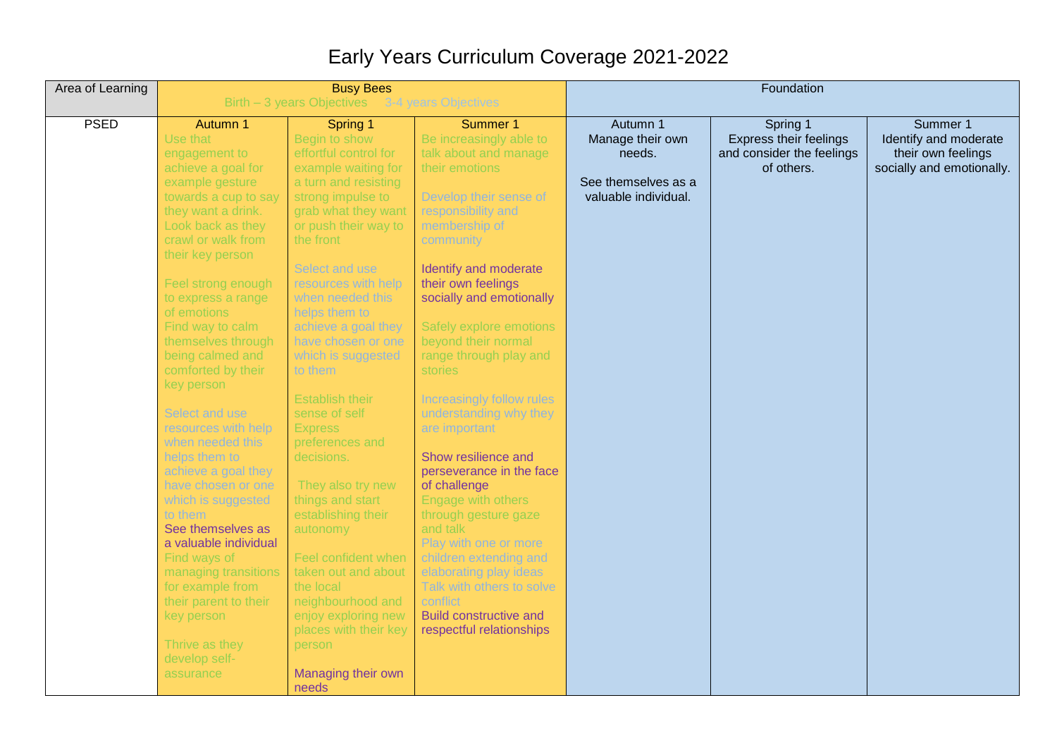## Early Years Curriculum Coverage 2021-2022

| Area of Learning | <b>Busy Bees</b><br>Birth - 3 years Objectives 3-4 years Objectives |                                             |                                     | Foundation           |                               |                           |  |
|------------------|---------------------------------------------------------------------|---------------------------------------------|-------------------------------------|----------------------|-------------------------------|---------------------------|--|
|                  |                                                                     |                                             |                                     |                      |                               |                           |  |
| <b>PSED</b>      | Autumn 1                                                            | Spring 1                                    | Summer 1                            | Autumn 1             | Spring 1                      | Summer 1                  |  |
|                  | Use that                                                            | Begin to show                               | Be increasingly able to             | Manage their own     | <b>Express their feelings</b> | Identify and moderate     |  |
|                  | engagement to                                                       | effortful control for                       | talk about and manage               | needs.               | and consider the feelings     | their own feelings        |  |
|                  | achieve a goal for                                                  | example waiting for                         | their emotions                      | See themselves as a  | of others.                    | socially and emotionally. |  |
|                  | example gesture                                                     | a turn and resisting                        |                                     | valuable individual. |                               |                           |  |
|                  | towards a cup to say                                                | strong impulse to                           | Develop their sense of              |                      |                               |                           |  |
|                  | they want a drink.<br>Look back as they                             | grab what they want<br>or push their way to | responsibility and<br>membership of |                      |                               |                           |  |
|                  | crawl or walk from                                                  | the front                                   | community                           |                      |                               |                           |  |
|                  | their key person                                                    |                                             |                                     |                      |                               |                           |  |
|                  |                                                                     | Select and use                              | Identify and moderate               |                      |                               |                           |  |
|                  | Feel strong enough                                                  | resources with help                         | their own feelings                  |                      |                               |                           |  |
|                  | to express a range                                                  | when needed this                            | socially and emotionally            |                      |                               |                           |  |
|                  | of emotions                                                         | helps them to                               |                                     |                      |                               |                           |  |
|                  | Find way to calm                                                    | achieve a goal they                         | Safely explore emotions             |                      |                               |                           |  |
|                  | themselves through                                                  | have chosen or one                          | beyond their normal                 |                      |                               |                           |  |
|                  | being calmed and                                                    | which is suggested                          | range through play and              |                      |                               |                           |  |
|                  | comforted by their                                                  | to them                                     | stories                             |                      |                               |                           |  |
|                  | key person                                                          |                                             |                                     |                      |                               |                           |  |
|                  |                                                                     | <b>Establish their</b>                      | Increasingly follow rules           |                      |                               |                           |  |
|                  | Select and use                                                      | sense of self                               | understanding why they              |                      |                               |                           |  |
|                  | resources with help                                                 | <b>Express</b>                              | are important                       |                      |                               |                           |  |
|                  | when needed this                                                    | preferences and                             |                                     |                      |                               |                           |  |
|                  | helps them to                                                       | decisions.                                  | Show resilience and                 |                      |                               |                           |  |
|                  | achieve a goal they                                                 |                                             | perseverance in the face            |                      |                               |                           |  |
|                  | have chosen or one                                                  | They also try new                           | of challenge                        |                      |                               |                           |  |
|                  | which is suggested                                                  | things and start                            | Engage with others                  |                      |                               |                           |  |
|                  | to them                                                             | establishing their                          | through gesture gaze                |                      |                               |                           |  |
|                  | See themselves as                                                   | autonomy                                    | and talk                            |                      |                               |                           |  |
|                  | a valuable individual                                               |                                             | Play with one or more               |                      |                               |                           |  |
|                  | Find ways of                                                        | Feel confident when                         | children extending and              |                      |                               |                           |  |
|                  | managing transitions                                                | taken out and about                         | elaborating play ideas              |                      |                               |                           |  |
|                  | for example from                                                    | the local                                   | Talk with others to solve           |                      |                               |                           |  |
|                  | their parent to their                                               | neighbourhood and                           | conflict                            |                      |                               |                           |  |
|                  | key person                                                          | enjoy exploring new                         | <b>Build constructive and</b>       |                      |                               |                           |  |
|                  |                                                                     | places with their key                       | respectful relationships            |                      |                               |                           |  |
|                  | Thrive as they                                                      | person                                      |                                     |                      |                               |                           |  |
|                  | develop self-                                                       |                                             |                                     |                      |                               |                           |  |
|                  | assurance                                                           | Managing their own                          |                                     |                      |                               |                           |  |
|                  |                                                                     | needs                                       |                                     |                      |                               |                           |  |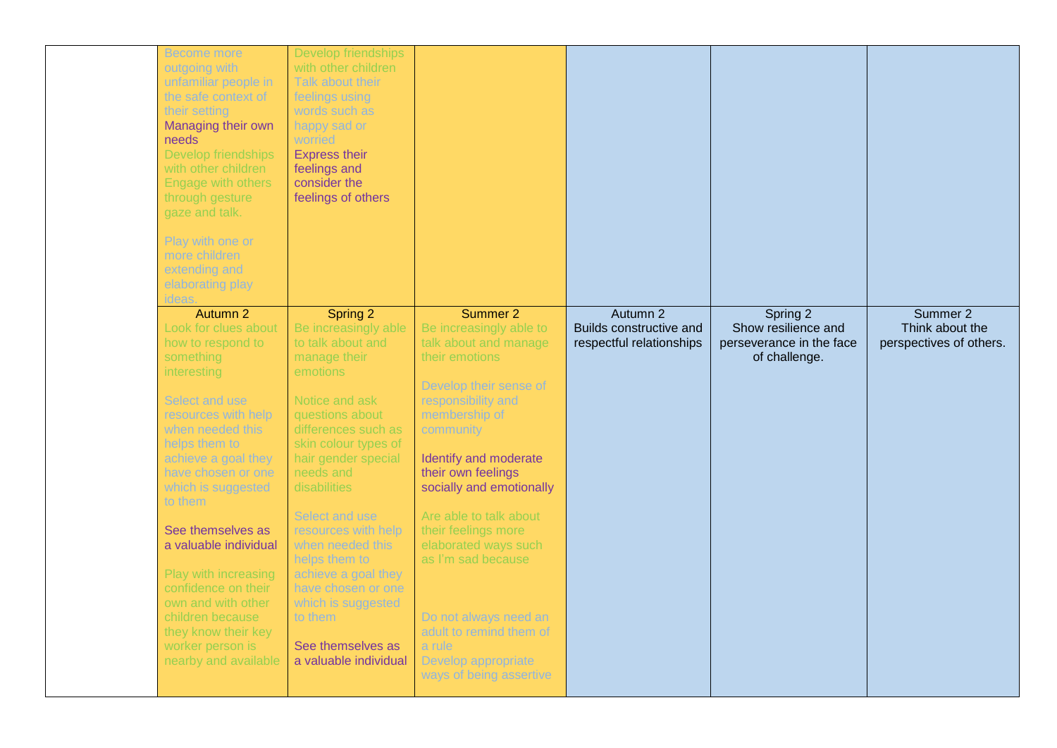| <b>Become more</b><br>outgoing with<br>unfamiliar people in<br>the safe context of<br>their setting<br>Managing their own<br>needs<br>Develop friendships<br>with other children<br>Engage with others<br>through gesture<br>gaze and talk.<br>Play with one or<br>more children<br>extending and<br>elaborating play<br>ideas. | Develop friendships<br>with other children<br>Talk about their<br>feelings using<br>words such as<br>happy sad or<br>worried<br><b>Express their</b><br>feelings and<br>consider the<br>feelings of others |                                                                                                                                                       |                                                                 |                                                             |                                                        |
|---------------------------------------------------------------------------------------------------------------------------------------------------------------------------------------------------------------------------------------------------------------------------------------------------------------------------------|------------------------------------------------------------------------------------------------------------------------------------------------------------------------------------------------------------|-------------------------------------------------------------------------------------------------------------------------------------------------------|-----------------------------------------------------------------|-------------------------------------------------------------|--------------------------------------------------------|
| Autumn 2<br>Look for clues about<br>how to respond to                                                                                                                                                                                                                                                                           | Spring 2<br>Be increasingly able<br>to talk about and                                                                                                                                                      | Summer 2<br>Be increasingly able to<br>talk about and manage                                                                                          | Autumn 2<br>Builds constructive and<br>respectful relationships | Spring 2<br>Show resilience and<br>perseverance in the face | Summer 2<br>Think about the<br>perspectives of others. |
| something<br>interesting                                                                                                                                                                                                                                                                                                        | manage their<br>emotions                                                                                                                                                                                   | their emotions<br>Develop their sense of                                                                                                              |                                                                 | of challenge.                                               |                                                        |
| Select and use<br>resources with help<br>when needed this<br>helps them to<br>achieve a goal they<br>have chosen or one<br>which is suggested<br>to them                                                                                                                                                                        | Notice and ask<br>questions about<br>differences such as<br>skin colour types of<br>hair gender special<br>needs and<br>disabilities<br>Select and use                                                     | responsibility and<br>membership of<br>community<br>Identify and moderate<br>their own feelings<br>socially and emotionally<br>Are able to talk about |                                                                 |                                                             |                                                        |
| See themselves as<br>a valuable individual                                                                                                                                                                                                                                                                                      | resources with help<br>when needed this                                                                                                                                                                    | their feelings more<br>elaborated ways such                                                                                                           |                                                                 |                                                             |                                                        |
| Play with increasing<br>confidence on their<br>own and with other<br>children because<br>they know their key<br>worker person is<br>nearby and available                                                                                                                                                                        | helps them to<br>achieve a goal they<br>have chosen or one<br>which is suggested<br>to them<br>See themselves as<br>a valuable individual                                                                  | as I'm sad because<br>Do not always need an<br>adult to remind them of<br>a rule<br>Develop appropriate<br>ways of being assertive                    |                                                                 |                                                             |                                                        |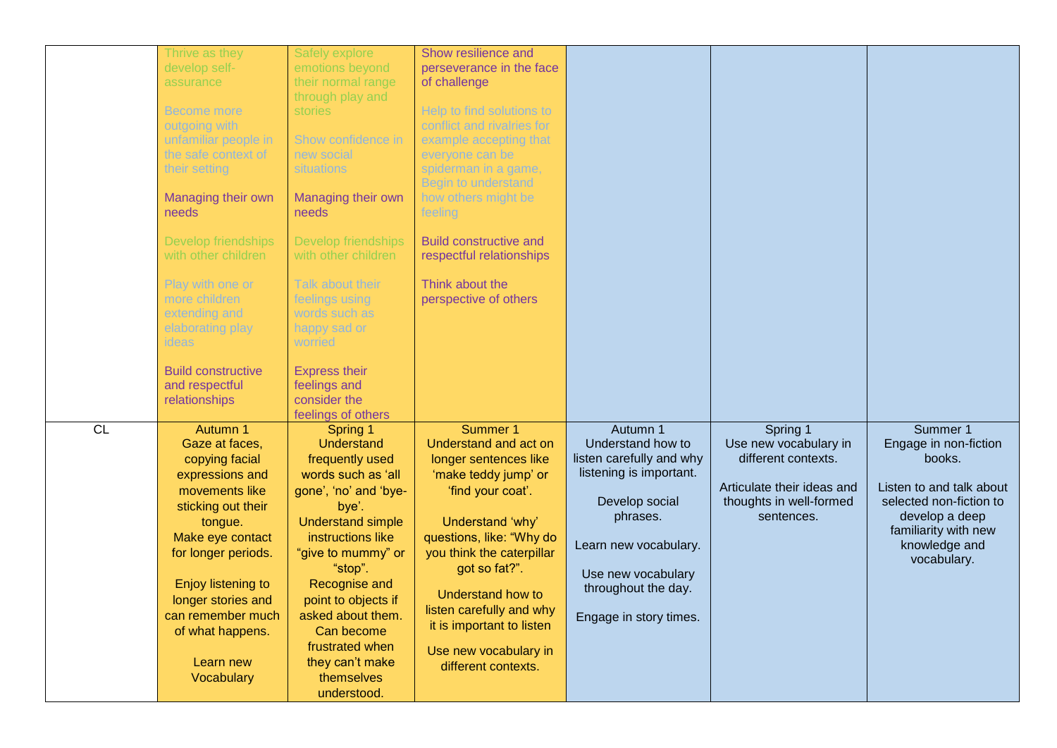|    | Thrive as they<br>develop self-<br>assurance<br><b>Become more</b><br>outgoing with<br>unfamiliar people in<br>the safe context of<br>their setting<br>Managing their own<br>needs                                                                                            | Safely explore<br>emotions beyond<br>their normal range<br>through play and<br>stories<br>Show confidence in<br>new social<br>situations<br>Managing their own<br>needs                                                                                                                                                                                        | Show resilience and<br>perseverance in the face<br>of challenge<br>Help to find solutions to<br>conflict and rivalries for<br>example accepting that<br>everyone can be<br>spiderman in a game,<br>Begin to understand<br>how others might be<br>feeling                                                                                   |                                                                                                                                                                                                                    |                                                                                                                                 |                                                                                                                                                                              |
|----|-------------------------------------------------------------------------------------------------------------------------------------------------------------------------------------------------------------------------------------------------------------------------------|----------------------------------------------------------------------------------------------------------------------------------------------------------------------------------------------------------------------------------------------------------------------------------------------------------------------------------------------------------------|--------------------------------------------------------------------------------------------------------------------------------------------------------------------------------------------------------------------------------------------------------------------------------------------------------------------------------------------|--------------------------------------------------------------------------------------------------------------------------------------------------------------------------------------------------------------------|---------------------------------------------------------------------------------------------------------------------------------|------------------------------------------------------------------------------------------------------------------------------------------------------------------------------|
|    | <b>Develop friendships</b><br>with other children<br>Play with one or<br>more children<br>extending and<br>elaborating play<br>ideas<br><b>Build constructive</b><br>and respectful<br>relationships                                                                          | <b>Develop friendships</b><br>with other children<br>Talk about their<br>feelings using<br>words such as<br>happy sad or<br>worried<br><b>Express their</b><br>feelings and<br>consider the                                                                                                                                                                    | <b>Build constructive and</b><br>respectful relationships<br>Think about the<br>perspective of others                                                                                                                                                                                                                                      |                                                                                                                                                                                                                    |                                                                                                                                 |                                                                                                                                                                              |
| CL | Autumn 1<br>Gaze at faces,<br>copying facial<br>expressions and<br>movements like<br>sticking out their<br>tongue.<br>Make eye contact<br>for longer periods.<br>Enjoy listening to<br>longer stories and<br>can remember much<br>of what happens.<br>Learn new<br>Vocabulary | feelings of others<br>Spring 1<br><b>Understand</b><br>frequently used<br>words such as 'all<br>gone', 'no' and 'bye-<br>bye'.<br><b>Understand simple</b><br>instructions like<br>"give to mummy" or<br>"stop".<br>Recognise and<br>point to objects if<br>asked about them.<br>Can become<br>frustrated when<br>they can't make<br>themselves<br>understood. | Summer 1<br>Understand and act on<br>longer sentences like<br>'make teddy jump' or<br>'find your coat'.<br>Understand 'why'<br>questions, like: "Why do<br>you think the caterpillar<br>got so fat?".<br><b>Understand how to</b><br>listen carefully and why<br>it is important to listen<br>Use new vocabulary in<br>different contexts. | Autumn 1<br>Understand how to<br>listen carefully and why<br>listening is important.<br>Develop social<br>phrases.<br>Learn new vocabulary.<br>Use new vocabulary<br>throughout the day.<br>Engage in story times. | Spring 1<br>Use new vocabulary in<br>different contexts.<br>Articulate their ideas and<br>thoughts in well-formed<br>sentences. | Summer 1<br>Engage in non-fiction<br>books.<br>Listen to and talk about<br>selected non-fiction to<br>develop a deep<br>familiarity with new<br>knowledge and<br>vocabulary. |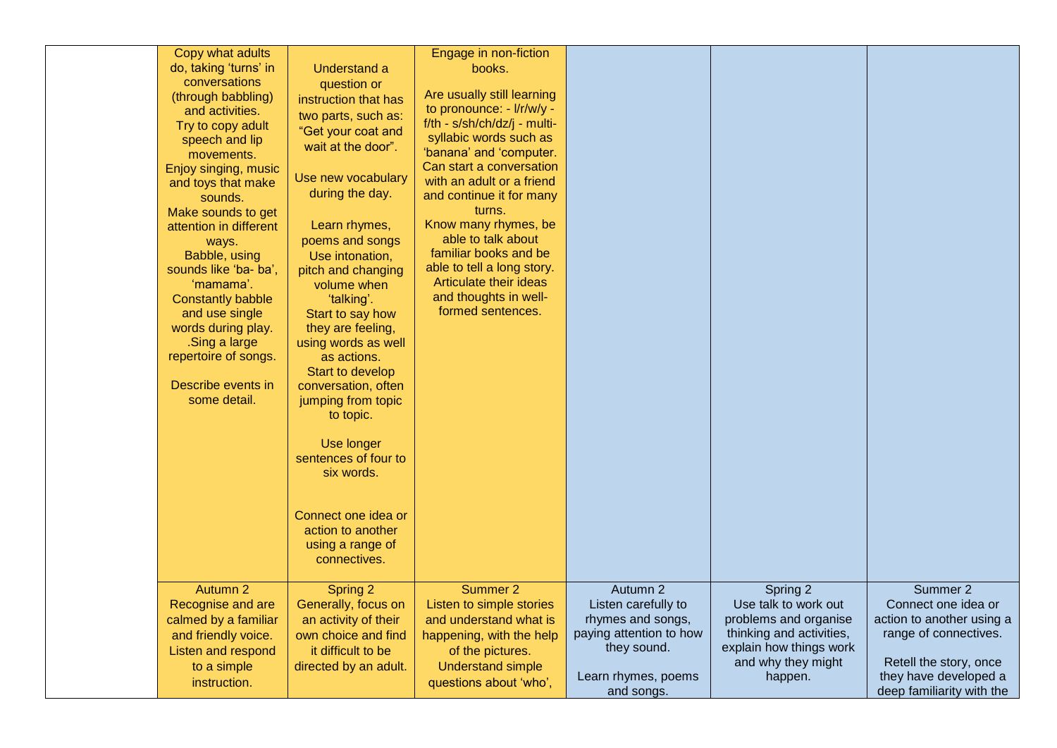| Copy what adults<br>do, taking 'turns' in<br>conversations<br>(through babbling)<br>and activities.<br>Try to copy adult<br>speech and lip<br>movements.<br>Enjoy singing, music<br>and toys that make<br>sounds.<br>Make sounds to get<br>attention in different<br>ways.<br>Babble, using<br>sounds like 'ba- ba',<br>'mamama'.<br><b>Constantly babble</b><br>and use single<br>words during play.<br>.Sing a large<br>repertoire of songs.<br>Describe events in<br>some detail. | Understand a<br>question or<br>instruction that has<br>two parts, such as:<br>"Get your coat and<br>wait at the door".<br>Use new vocabulary<br>during the day.<br>Learn rhymes,<br>poems and songs<br>Use intonation,<br>pitch and changing<br>volume when<br>'talking'.<br>Start to say how<br>they are feeling,<br>using words as well<br>as actions.<br>Start to develop<br>conversation, often<br>jumping from topic<br>to topic.<br>Use longer<br>sentences of four to<br>six words.<br>Connect one idea or<br>action to another<br>using a range of<br>connectives. | Engage in non-fiction<br>books.<br>Are usually still learning<br>to pronounce: - I/r/w/y -<br>f/th - s/sh/ch/dz/j - multi-<br>syllabic words such as<br>'banana' and 'computer.<br>Can start a conversation<br>with an adult or a friend<br>and continue it for many<br>turns.<br>Know many rhymes, be<br>able to talk about<br>familiar books and be<br>able to tell a long story.<br>Articulate their ideas<br>and thoughts in well-<br>formed sentences. |                                                                                                                                     |                                                                                                                                                   |                                                                                                                                                                       |
|--------------------------------------------------------------------------------------------------------------------------------------------------------------------------------------------------------------------------------------------------------------------------------------------------------------------------------------------------------------------------------------------------------------------------------------------------------------------------------------|----------------------------------------------------------------------------------------------------------------------------------------------------------------------------------------------------------------------------------------------------------------------------------------------------------------------------------------------------------------------------------------------------------------------------------------------------------------------------------------------------------------------------------------------------------------------------|-------------------------------------------------------------------------------------------------------------------------------------------------------------------------------------------------------------------------------------------------------------------------------------------------------------------------------------------------------------------------------------------------------------------------------------------------------------|-------------------------------------------------------------------------------------------------------------------------------------|---------------------------------------------------------------------------------------------------------------------------------------------------|-----------------------------------------------------------------------------------------------------------------------------------------------------------------------|
| Autumn 2<br>Recognise and are<br>calmed by a familiar<br>and friendly voice.<br>Listen and respond<br>to a simple<br>instruction.                                                                                                                                                                                                                                                                                                                                                    | Spring 2<br>Generally, focus on<br>an activity of their<br>own choice and find<br>it difficult to be<br>directed by an adult.                                                                                                                                                                                                                                                                                                                                                                                                                                              | Summer 2<br>Listen to simple stories<br>and understand what is<br>happening, with the help<br>of the pictures.<br><b>Understand simple</b><br>questions about 'who',                                                                                                                                                                                                                                                                                        | Autumn 2<br>Listen carefully to<br>rhymes and songs,<br>paying attention to how<br>they sound.<br>Learn rhymes, poems<br>and songs. | Spring 2<br>Use talk to work out<br>problems and organise<br>thinking and activities,<br>explain how things work<br>and why they might<br>happen. | Summer 2<br>Connect one idea or<br>action to another using a<br>range of connectives.<br>Retell the story, once<br>they have developed a<br>deep familiarity with the |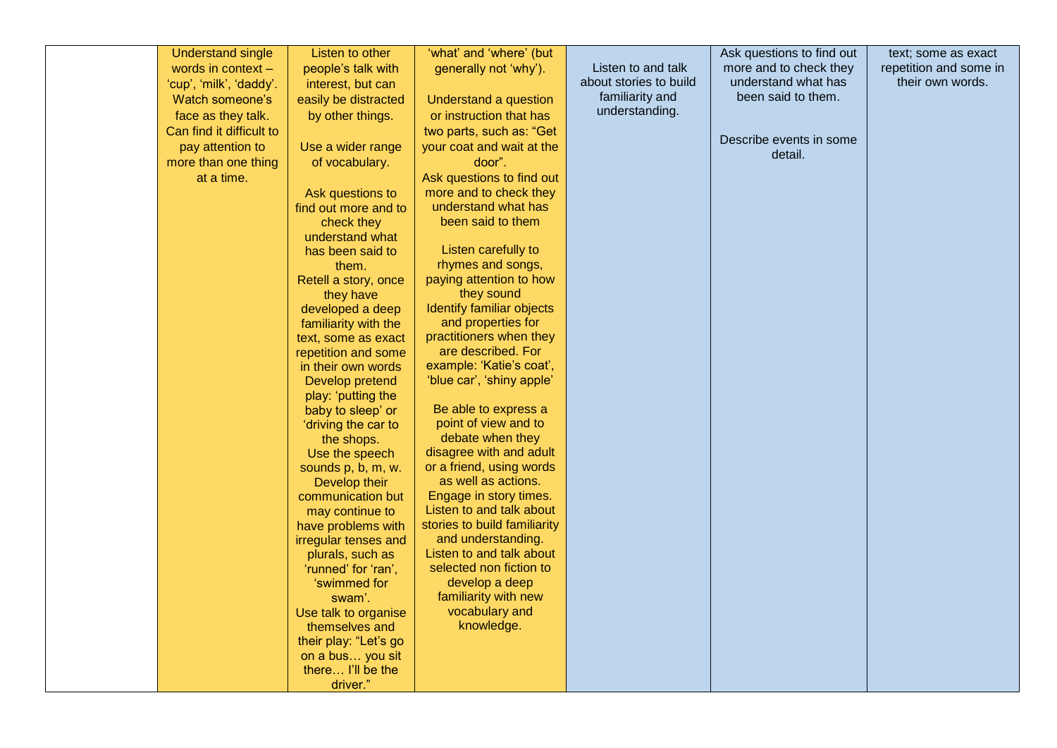| <b>Understand single</b> | Listen to other                            | 'what' and 'where' (but                            |                        | Ask questions to find out | text; some as exact    |
|--------------------------|--------------------------------------------|----------------------------------------------------|------------------------|---------------------------|------------------------|
| words in context -       | people's talk with                         | generally not 'why').                              | Listen to and talk     | more and to check they    | repetition and some in |
| 'cup', 'milk', 'daddy'.  | interest, but can                          |                                                    | about stories to build | understand what has       | their own words.       |
| Watch someone's          | easily be distracted                       | Understand a question                              | familiarity and        | been said to them.        |                        |
| face as they talk.       | by other things.                           | or instruction that has                            | understanding.         |                           |                        |
| Can find it difficult to |                                            | two parts, such as: "Get                           |                        |                           |                        |
| pay attention to         | Use a wider range                          | your coat and wait at the                          |                        | Describe events in some   |                        |
| more than one thing      | of vocabulary.                             | door".                                             |                        | detail.                   |                        |
| at a time.               |                                            | Ask questions to find out                          |                        |                           |                        |
|                          | Ask questions to                           | more and to check they                             |                        |                           |                        |
|                          | find out more and to                       | understand what has                                |                        |                           |                        |
|                          | check they                                 | been said to them                                  |                        |                           |                        |
|                          | understand what                            |                                                    |                        |                           |                        |
|                          | has been said to                           | Listen carefully to                                |                        |                           |                        |
|                          | them.                                      | rhymes and songs,                                  |                        |                           |                        |
|                          | Retell a story, once                       | paying attention to how                            |                        |                           |                        |
|                          | they have                                  | they sound                                         |                        |                           |                        |
|                          | developed a deep                           | Identify familiar objects                          |                        |                           |                        |
|                          | familiarity with the                       | and properties for                                 |                        |                           |                        |
|                          | text, some as exact                        | practitioners when they                            |                        |                           |                        |
|                          | repetition and some                        | are described. For                                 |                        |                           |                        |
|                          | in their own words                         | example: 'Katie's coat',                           |                        |                           |                        |
|                          | Develop pretend                            | 'blue car', 'shiny apple'                          |                        |                           |                        |
|                          | play: 'putting the                         |                                                    |                        |                           |                        |
|                          | baby to sleep' or                          | Be able to express a                               |                        |                           |                        |
|                          | 'driving the car to                        | point of view and to                               |                        |                           |                        |
|                          | the shops.                                 | debate when they                                   |                        |                           |                        |
|                          | Use the speech                             | disagree with and adult                            |                        |                           |                        |
|                          | sounds p, b, m, w.                         | or a friend, using words                           |                        |                           |                        |
|                          | Develop their                              | as well as actions.                                |                        |                           |                        |
|                          | communication but                          | Engage in story times.<br>Listen to and talk about |                        |                           |                        |
|                          | may continue to                            | stories to build familiarity                       |                        |                           |                        |
|                          | have problems with<br>irregular tenses and | and understanding.                                 |                        |                           |                        |
|                          | plurals, such as                           | Listen to and talk about                           |                        |                           |                        |
|                          | 'runned' for 'ran',                        | selected non fiction to                            |                        |                           |                        |
|                          | 'swimmed for                               | develop a deep                                     |                        |                           |                        |
|                          | swam'.                                     | familiarity with new                               |                        |                           |                        |
|                          | Use talk to organise                       | vocabulary and                                     |                        |                           |                        |
|                          | themselves and                             | knowledge.                                         |                        |                           |                        |
|                          | their play: "Let's go                      |                                                    |                        |                           |                        |
|                          | on a bus you sit                           |                                                    |                        |                           |                        |
|                          | there I'll be the                          |                                                    |                        |                           |                        |
|                          | driver."                                   |                                                    |                        |                           |                        |
|                          |                                            |                                                    |                        |                           |                        |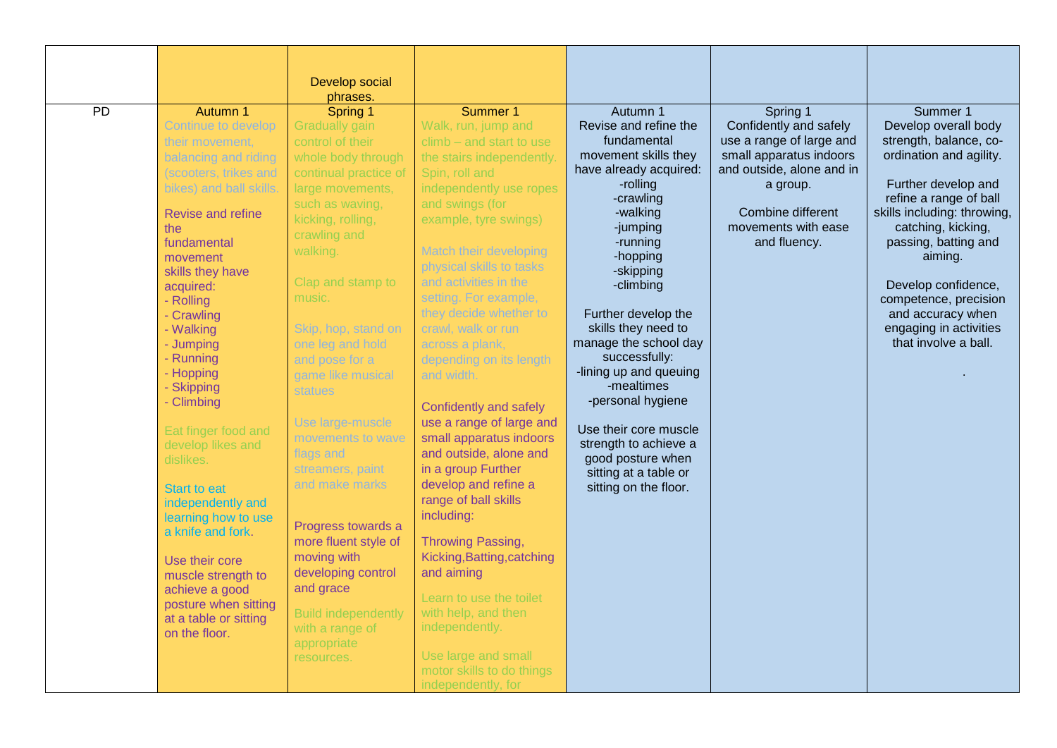|                 |                         | Develop social             |                                                   |                                            |                                                     |                                                   |
|-----------------|-------------------------|----------------------------|---------------------------------------------------|--------------------------------------------|-----------------------------------------------------|---------------------------------------------------|
|                 |                         | phrases.                   |                                                   |                                            |                                                     |                                                   |
| $\overline{PD}$ | Autumn 1                | Spring 1                   | Summer 1                                          | Autumn 1                                   | Spring 1                                            | Summer 1                                          |
|                 | Continue to develop     | <b>Gradually gain</b>      | Walk, run, jump and                               | Revise and refine the<br>fundamental       | Confidently and safely                              | Develop overall body                              |
|                 | their movement,         | control of their           | $climb - and start to use$                        | movement skills they                       | use a range of large and<br>small apparatus indoors | strength, balance, co-<br>ordination and agility. |
|                 | balancing and riding    | whole body through         | the stairs independently.                         | have already acquired:                     | and outside, alone and in                           |                                                   |
|                 | (scooters, trikes and   | continual practice of      | Spin, roll and                                    | -rolling                                   | a group.                                            | Further develop and                               |
|                 | bikes) and ball skills. | large movements,           | independently use ropes                           | -crawling                                  |                                                     | refine a range of ball                            |
|                 | Revise and refine       | such as waving,            | and swings (for                                   | -walking                                   | Combine different                                   | skills including: throwing,                       |
|                 | the                     | kicking, rolling,          | example, tyre swings)                             | -jumping                                   | movements with ease                                 | catching, kicking,                                |
|                 | fundamental             | crawling and               |                                                   | -running                                   | and fluency.                                        | passing, batting and                              |
|                 | movement                | walking.                   | Match their developing                            | -hopping                                   |                                                     | aiming.                                           |
|                 | skills they have        | Clap and stamp to          | physical skills to tasks<br>and activities in the | -skipping                                  |                                                     |                                                   |
|                 | acquired:               | music.                     | setting. For example,                             | -climbing                                  |                                                     | Develop confidence,                               |
|                 | - Rolling               |                            | they decide whether to                            |                                            |                                                     | competence, precision                             |
|                 | - Crawling<br>- Walking | Skip, hop, stand on        | crawl, walk or run                                | Further develop the<br>skills they need to |                                                     | and accuracy when<br>engaging in activities       |
|                 | - Jumping               | one leg and hold           | across a plank,                                   | manage the school day                      |                                                     | that involve a ball.                              |
|                 | - Running               | and pose for a             | depending on its length                           | successfully:                              |                                                     |                                                   |
|                 | - Hopping               | game like musical          | and width.                                        | -lining up and queuing                     |                                                     |                                                   |
|                 | - Skipping              | <b>statues</b>             |                                                   | -mealtimes                                 |                                                     |                                                   |
|                 | - Climbing              |                            | Confidently and safely                            | -personal hygiene                          |                                                     |                                                   |
|                 |                         | Use large-muscle           | use a range of large and                          |                                            |                                                     |                                                   |
|                 | Eat finger food and     | movements to wave          | small apparatus indoors                           | Use their core muscle                      |                                                     |                                                   |
|                 | develop likes and       | flags and                  | and outside, alone and                            | strength to achieve a                      |                                                     |                                                   |
|                 | dislikes.               | streamers, paint           | in a group Further                                | good posture when<br>sitting at a table or |                                                     |                                                   |
|                 | <b>Start to eat</b>     | and make marks             | develop and refine a                              | sitting on the floor.                      |                                                     |                                                   |
|                 | independently and       |                            | range of ball skills                              |                                            |                                                     |                                                   |
|                 | learning how to use     |                            | including:                                        |                                            |                                                     |                                                   |
|                 | a knife and fork.       | Progress towards a         |                                                   |                                            |                                                     |                                                   |
|                 |                         | more fluent style of       | Throwing Passing,                                 |                                            |                                                     |                                                   |
|                 | Use their core          | moving with                | Kicking, Batting, catching                        |                                            |                                                     |                                                   |
|                 | muscle strength to      | developing control         | and aiming                                        |                                            |                                                     |                                                   |
|                 | achieve a good          | and grace                  | Learn to use the toilet                           |                                            |                                                     |                                                   |
|                 | posture when sitting    | <b>Build independently</b> | with help, and then                               |                                            |                                                     |                                                   |
|                 | at a table or sitting   | with a range of            | independently.                                    |                                            |                                                     |                                                   |
|                 | on the floor.           | appropriate                |                                                   |                                            |                                                     |                                                   |
|                 |                         | resources.                 | Use large and small                               |                                            |                                                     |                                                   |
|                 |                         |                            | motor skills to do things                         |                                            |                                                     |                                                   |
|                 |                         |                            | independently, for                                |                                            |                                                     |                                                   |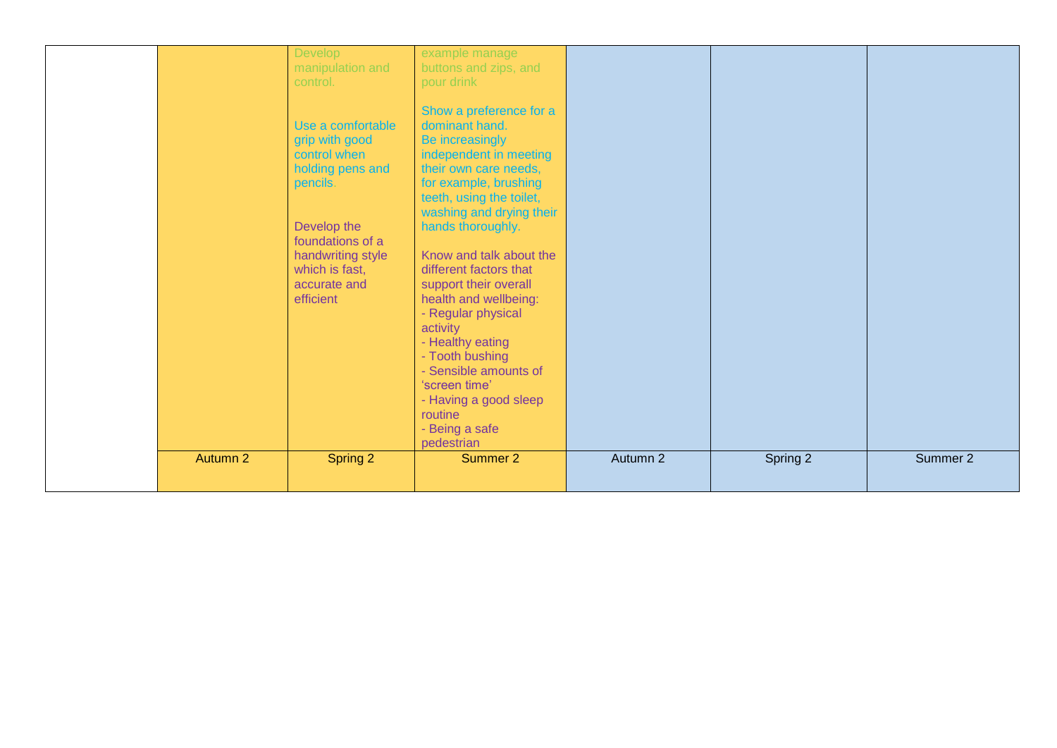|          | Develop<br>manipulation and<br>control.<br>Use a comfortable<br>grip with good<br>control when<br>holding pens and<br>pencils.<br>Develop the<br>foundations of a<br>handwriting style<br>which is fast,<br>accurate and<br>efficient | example manage<br>buttons and zips, and<br>pour drink<br>Show a preference for a<br>dominant hand.<br>Be increasingly<br>independent in meeting<br>their own care needs,<br>for example, brushing<br>teeth, using the toilet,<br>washing and drying their<br>hands thoroughly.<br>Know and talk about the<br>different factors that<br>support their overall<br>health and wellbeing:<br>- Regular physical<br>activity<br>- Healthy eating<br>- Tooth bushing<br>- Sensible amounts of<br>'screen time'<br>- Having a good sleep<br>routine<br>- Being a safe<br>pedestrian |          |          |          |
|----------|---------------------------------------------------------------------------------------------------------------------------------------------------------------------------------------------------------------------------------------|------------------------------------------------------------------------------------------------------------------------------------------------------------------------------------------------------------------------------------------------------------------------------------------------------------------------------------------------------------------------------------------------------------------------------------------------------------------------------------------------------------------------------------------------------------------------------|----------|----------|----------|
| Autumn 2 | Spring 2                                                                                                                                                                                                                              | Summer 2                                                                                                                                                                                                                                                                                                                                                                                                                                                                                                                                                                     | Autumn 2 | Spring 2 | Summer 2 |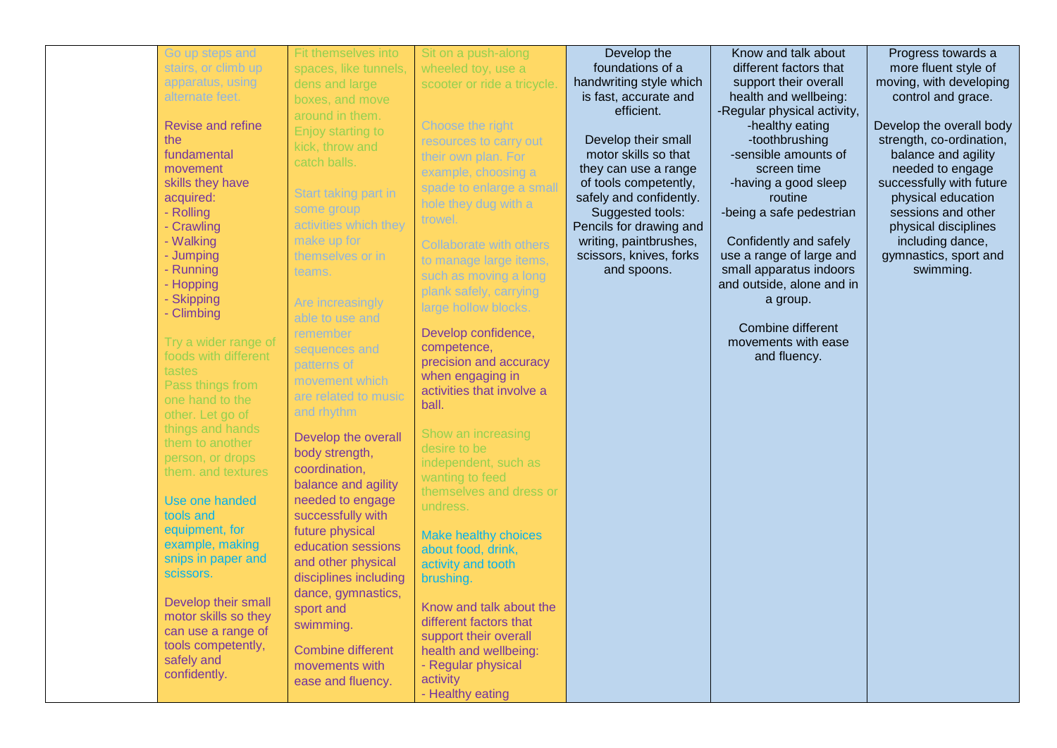| Go up steps and          | Fit themselves into      | Sit on a push-along         | Develop the             | Know and talk about         | Progress towards a       |
|--------------------------|--------------------------|-----------------------------|-------------------------|-----------------------------|--------------------------|
| stairs, or climb up      | spaces, like tunnels,    | wheeled toy, use a          | foundations of a        | different factors that      | more fluent style of     |
| apparatus, using         | dens and large           | scooter or ride a tricycle. | handwriting style which | support their overall       | moving, with developing  |
| alternate feet.          | boxes, and move          |                             | is fast, accurate and   | health and wellbeing:       | control and grace.       |
|                          |                          |                             | efficient.              | -Regular physical activity, |                          |
| <b>Revise and refine</b> | around in them.          | Choose the right            |                         | -healthy eating             | Develop the overall body |
| the                      | Enjoy starting to        |                             | Develop their small     | -toothbrushing              | strength, co-ordination, |
|                          | kick, throw and          | resources to carry out      |                         |                             |                          |
| fundamental              | catch balls.             | their own plan. For         | motor skills so that    | -sensible amounts of        | balance and agility      |
| movement                 |                          | example, choosing a         | they can use a range    | screen time                 | needed to engage         |
| skills they have         | Start taking part in     | spade to enlarge a small    | of tools competently,   | -having a good sleep        | successfully with future |
| acquired:                |                          | hole they dug with a        | safely and confidently. | routine                     | physical education       |
| - Rolling                | some group               | trowel.                     | Suggested tools:        | -being a safe pedestrian    | sessions and other       |
| - Crawling               | activities which they    |                             | Pencils for drawing and |                             | physical disciplines     |
| - Walking                | make up for              | Collaborate with others     | writing, paintbrushes,  | Confidently and safely      | including dance,         |
| - Jumping                | themselves or in         |                             | scissors, knives, forks | use a range of large and    | gymnastics, sport and    |
| - Running                | teams.                   | to manage large items,      | and spoons.             | small apparatus indoors     | swimming.                |
| - Hopping                |                          | such as moving a long       |                         | and outside, alone and in   |                          |
| - Skipping               |                          | plank safely, carrying      |                         | a group.                    |                          |
| - Climbing               | Are increasingly         | large hollow blocks.        |                         |                             |                          |
|                          | able to use and          |                             |                         | Combine different           |                          |
|                          | remember                 | Develop confidence,         |                         |                             |                          |
| Try a wider range of     | sequences and            | competence,                 |                         | movements with ease         |                          |
| foods with different     | patterns of              | precision and accuracy      |                         | and fluency.                |                          |
| tastes                   | movement which           | when engaging in            |                         |                             |                          |
| Pass things from         |                          | activities that involve a   |                         |                             |                          |
| one hand to the          | are related to music     | ball.                       |                         |                             |                          |
| other. Let go of         | and rhythm               |                             |                         |                             |                          |
| things and hands         |                          | Show an increasing          |                         |                             |                          |
| them to another          | Develop the overall      | desire to be                |                         |                             |                          |
| person, or drops         | body strength,           | independent, such as        |                         |                             |                          |
| them. and textures       | coordination,            |                             |                         |                             |                          |
|                          | balance and agility      | wanting to feed             |                         |                             |                          |
| Use one handed           | needed to engage         | themselves and dress or     |                         |                             |                          |
| tools and                | successfully with        | undress.                    |                         |                             |                          |
| equipment, for           |                          |                             |                         |                             |                          |
| example, making          | future physical          | <b>Make healthy choices</b> |                         |                             |                          |
|                          | education sessions       | about food, drink,          |                         |                             |                          |
| snips in paper and       | and other physical       | activity and tooth          |                         |                             |                          |
| scissors.                | disciplines including    | brushing.                   |                         |                             |                          |
|                          | dance, gymnastics,       |                             |                         |                             |                          |
| Develop their small      | sport and                | Know and talk about the     |                         |                             |                          |
| motor skills so they     | swimming.                | different factors that      |                         |                             |                          |
| can use a range of       |                          | support their overall       |                         |                             |                          |
| tools competently,       | <b>Combine different</b> | health and wellbeing:       |                         |                             |                          |
| safely and               | movements with           | - Regular physical          |                         |                             |                          |
| confidently.             |                          | activity                    |                         |                             |                          |
|                          | ease and fluency.        |                             |                         |                             |                          |
|                          |                          | - Healthy eating            |                         |                             |                          |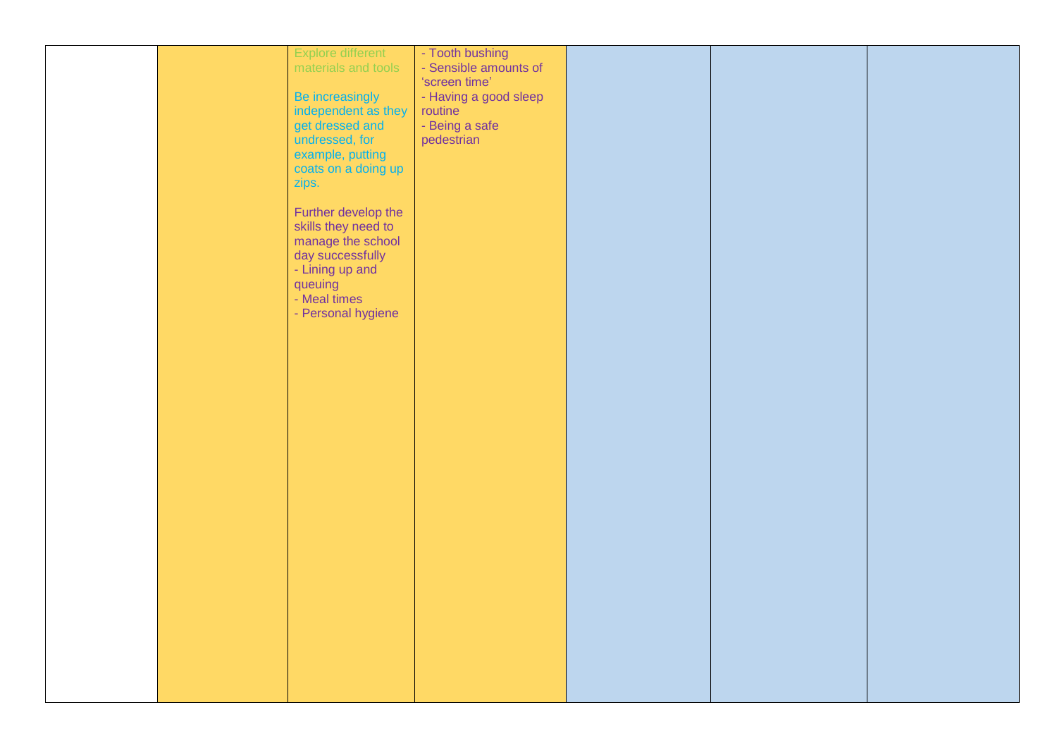|  | Explore different   | - Tooth bushing       |  |  |
|--|---------------------|-----------------------|--|--|
|  | materials and tools | - Sensible amounts of |  |  |
|  |                     | 'screen time'         |  |  |
|  |                     |                       |  |  |
|  | Be increasingly     | - Having a good sleep |  |  |
|  | independent as they | routine               |  |  |
|  | get dressed and     | - Being a safe        |  |  |
|  | undressed, for      | pedestrian            |  |  |
|  | example, putting    |                       |  |  |
|  | coats on a doing up |                       |  |  |
|  | zips.               |                       |  |  |
|  |                     |                       |  |  |
|  |                     |                       |  |  |
|  | Further develop the |                       |  |  |
|  | skills they need to |                       |  |  |
|  | manage the school   |                       |  |  |
|  | day successfully    |                       |  |  |
|  | - Lining up and     |                       |  |  |
|  | queuing             |                       |  |  |
|  | - Meal times        |                       |  |  |
|  | - Personal hygiene  |                       |  |  |
|  |                     |                       |  |  |
|  |                     |                       |  |  |
|  |                     |                       |  |  |
|  |                     |                       |  |  |
|  |                     |                       |  |  |
|  |                     |                       |  |  |
|  |                     |                       |  |  |
|  |                     |                       |  |  |
|  |                     |                       |  |  |
|  |                     |                       |  |  |
|  |                     |                       |  |  |
|  |                     |                       |  |  |
|  |                     |                       |  |  |
|  |                     |                       |  |  |
|  |                     |                       |  |  |
|  |                     |                       |  |  |
|  |                     |                       |  |  |
|  |                     |                       |  |  |
|  |                     |                       |  |  |
|  |                     |                       |  |  |
|  |                     |                       |  |  |
|  |                     |                       |  |  |
|  |                     |                       |  |  |
|  |                     |                       |  |  |
|  |                     |                       |  |  |
|  |                     |                       |  |  |
|  |                     |                       |  |  |
|  |                     |                       |  |  |
|  |                     |                       |  |  |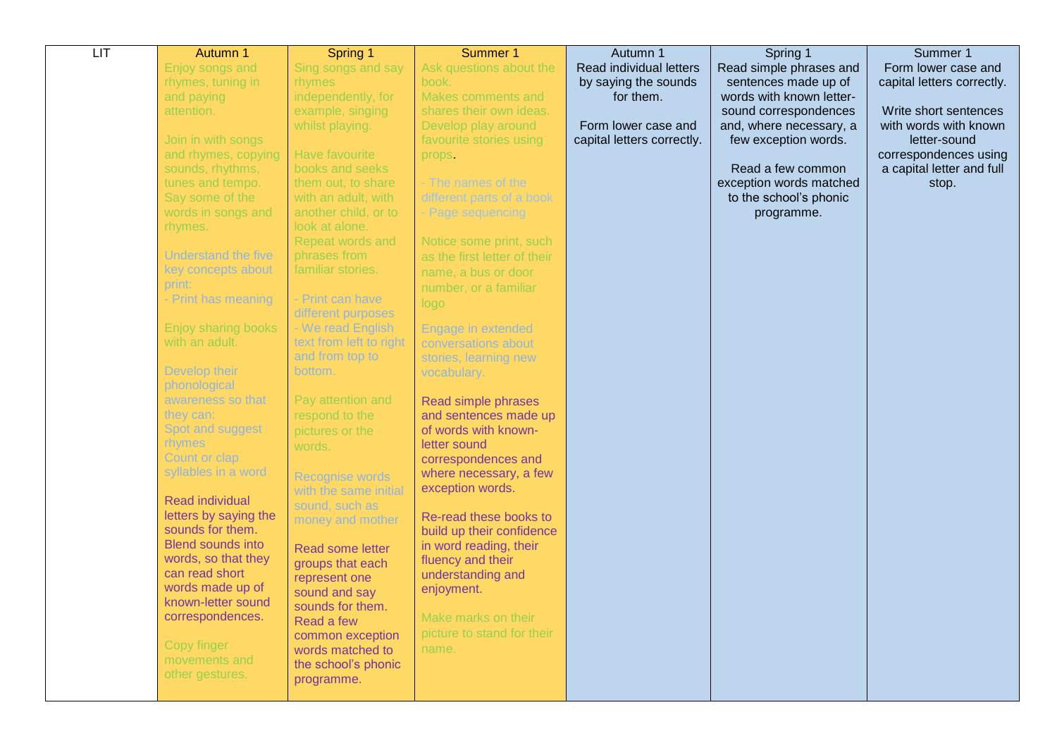| LIT | Autumn 1                                        | Spring 1                       | Summer 1                                            | Autumn 1                   | Spring 1                 | Summer 1                   |
|-----|-------------------------------------------------|--------------------------------|-----------------------------------------------------|----------------------------|--------------------------|----------------------------|
|     | Enjoy songs and                                 | Sing songs and say             | Ask questions about the                             | Read individual letters    | Read simple phrases and  | Form lower case and        |
|     | rhymes, tuning in                               | rhymes                         | book.                                               | by saying the sounds       | sentences made up of     | capital letters correctly. |
|     | and paying                                      | independently, for             | Makes comments and                                  | for them.                  | words with known letter- |                            |
|     | attention.                                      | example, singing               | shares their own ideas.                             |                            | sound correspondences    | Write short sentences      |
|     |                                                 | whilst playing.                | Develop play around                                 | Form lower case and        | and, where necessary, a  | with words with known      |
|     | Join in with songs                              |                                | favourite stories using                             | capital letters correctly. | few exception words.     | letter-sound               |
|     | and rhymes, copying                             | Have favourite                 | props.                                              |                            |                          | correspondences using      |
|     | sounds, rhythms,                                | books and seeks                |                                                     |                            | Read a few common        | a capital letter and full  |
|     | tunes and tempo.                                | them out, to share             | - The names of the                                  |                            | exception words matched  | stop.                      |
|     | Say some of the                                 | with an adult, with            | different parts of a book                           |                            | to the school's phonic   |                            |
|     | words in songs and                              | another child, or to           | - Page sequencing                                   |                            | programme.               |                            |
|     | rhymes.                                         | look at alone.                 |                                                     |                            |                          |                            |
|     |                                                 | Repeat words and               | Notice some print, such                             |                            |                          |                            |
|     | <b>Understand the five</b>                      | phrases from                   | as the first letter of their                        |                            |                          |                            |
|     | key concepts about<br>print:                    | familiar stories.              | name, a bus or door                                 |                            |                          |                            |
|     | - Print has meaning                             | - Print can have               | number, or a familiar                               |                            |                          |                            |
|     |                                                 | different purposes             | logo                                                |                            |                          |                            |
|     | Enjoy sharing books                             | - We read English              | Engage in extended                                  |                            |                          |                            |
|     | with an adult.                                  | text from left to right        | conversations about                                 |                            |                          |                            |
|     |                                                 | and from top to                | stories, learning new                               |                            |                          |                            |
|     | Develop their                                   | bottom.                        | vocabulary.                                         |                            |                          |                            |
|     | phonological                                    |                                |                                                     |                            |                          |                            |
|     | awareness so that                               | Pay attention and              | Read simple phrases                                 |                            |                          |                            |
|     | they can:                                       | respond to the                 | and sentences made up                               |                            |                          |                            |
|     | Spot and suggest                                | pictures or the                | of words with known-                                |                            |                          |                            |
|     | rhymes                                          | words.                         | letter sound                                        |                            |                          |                            |
|     | Count or clap                                   |                                | correspondences and                                 |                            |                          |                            |
|     | syllables in a word                             | Recognise words                | where necessary, a few                              |                            |                          |                            |
|     |                                                 | with the same initial          | exception words.                                    |                            |                          |                            |
|     | <b>Read individual</b><br>letters by saying the | sound, such as                 |                                                     |                            |                          |                            |
|     | sounds for them.                                | money and mother               | Re-read these books to<br>build up their confidence |                            |                          |                            |
|     | <b>Blend sounds into</b>                        |                                | in word reading, their                              |                            |                          |                            |
|     | words, so that they                             | Read some letter               | fluency and their                                   |                            |                          |                            |
|     | can read short                                  | groups that each               | understanding and                                   |                            |                          |                            |
|     | words made up of                                | represent one<br>sound and say | enjoyment.                                          |                            |                          |                            |
|     | known-letter sound                              | sounds for them.               |                                                     |                            |                          |                            |
|     | correspondences.                                | Read a few                     | Make marks on their                                 |                            |                          |                            |
|     |                                                 | common exception               | picture to stand for their                          |                            |                          |                            |
|     | Copy finger                                     | words matched to               | name.                                               |                            |                          |                            |
|     | movements and                                   | the school's phonic            |                                                     |                            |                          |                            |
|     | other gestures.                                 | programme.                     |                                                     |                            |                          |                            |
|     |                                                 |                                |                                                     |                            |                          |                            |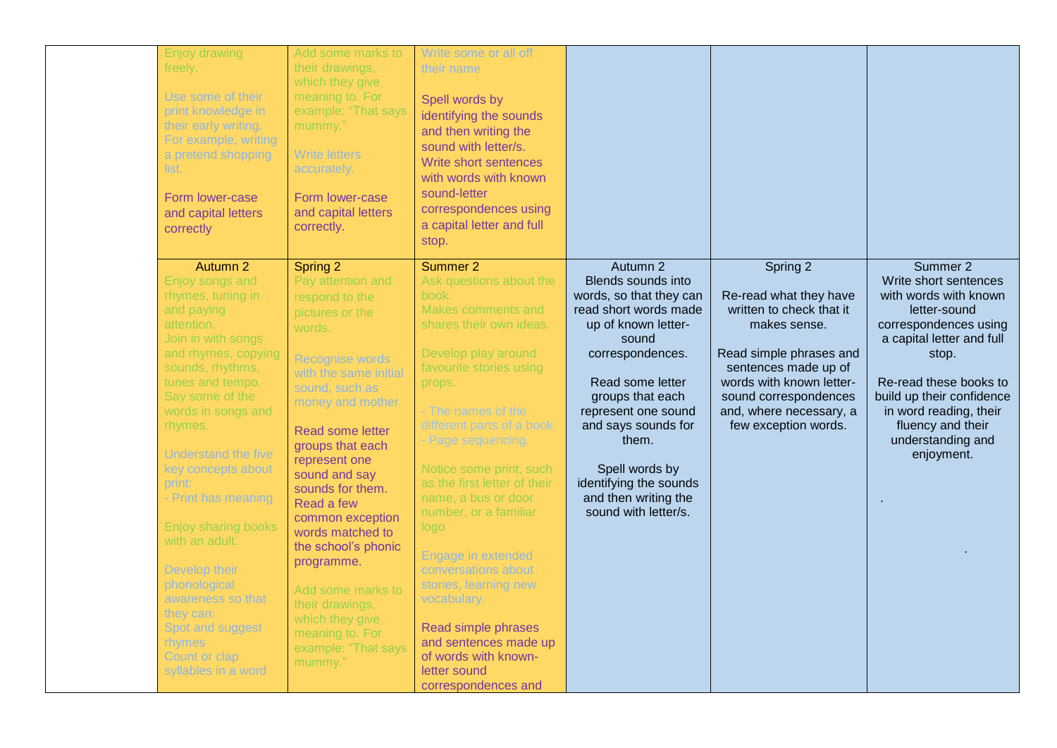| <b>Enjoy drawing</b><br>freely.<br>Use some of their<br>print knowledge in<br>their early writing.<br>For example, writing<br>a pretend shopping<br>list.<br>Form lower-case<br>and capital letters<br>correctly                                                                                                                                                                                                                                                                                    | Add some marks to<br>their drawings,<br>which they give<br>meaning to. For<br>example: "That says<br>mummy."<br><b>Write letters</b><br>accurately.<br>Form lower-case<br>and capital letters<br>correctly.                                                                                                                                                                                                                                                                    | Write some or all off<br>their name<br>Spell words by<br>identifying the sounds<br>and then writing the<br>sound with letter/s.<br>Write short sentences<br>with words with known<br>sound-letter<br>correspondences using<br>a capital letter and full<br>stop.                                                                                                                                                                                                                                                                                          |                                                                                                                                                                                                                                                                                                                                   |                                                                                                                                                                                                                                           |                                                                                                                                                                                                                                                                                    |
|-----------------------------------------------------------------------------------------------------------------------------------------------------------------------------------------------------------------------------------------------------------------------------------------------------------------------------------------------------------------------------------------------------------------------------------------------------------------------------------------------------|--------------------------------------------------------------------------------------------------------------------------------------------------------------------------------------------------------------------------------------------------------------------------------------------------------------------------------------------------------------------------------------------------------------------------------------------------------------------------------|-----------------------------------------------------------------------------------------------------------------------------------------------------------------------------------------------------------------------------------------------------------------------------------------------------------------------------------------------------------------------------------------------------------------------------------------------------------------------------------------------------------------------------------------------------------|-----------------------------------------------------------------------------------------------------------------------------------------------------------------------------------------------------------------------------------------------------------------------------------------------------------------------------------|-------------------------------------------------------------------------------------------------------------------------------------------------------------------------------------------------------------------------------------------|------------------------------------------------------------------------------------------------------------------------------------------------------------------------------------------------------------------------------------------------------------------------------------|
| Autumn 2<br>Enjoy songs and<br>rhymes, tuning in<br>and paying<br>attention.<br>Join in with songs<br>and rhymes, copying<br>sounds, rhythms,<br>tunes and tempo.<br>Say some of the<br>words in songs and<br>rhymes.<br><b>Understand the five</b><br>key concepts about<br>print:<br>- Print has meaning<br><b>Enjoy sharing books</b><br>with an adult.<br>Develop their<br>phonological<br>awareness so that<br>they can:<br>Spot and suggest<br>rhymes<br>Count or clap<br>syllables in a word | Spring 2<br>Pay attention and<br>respond to the<br>pictures or the<br>words.<br><b>Recognise words</b><br>with the same initial<br>sound, such as<br>money and mother<br>Read some letter<br>groups that each<br>represent one<br>sound and say<br>sounds for them.<br>Read a few<br>common exception<br>words matched to<br>the school's phonic<br>programme.<br>Add some marks to<br>their drawings,<br>which they give<br>meaning to. For<br>example: "That says<br>mummy." | Summer 2<br>Ask questions about the<br>book.<br>Makes comments and<br>shares their own ideas.<br>Develop play around<br>favourite stories using<br>props.<br>- The names of the<br>different parts of a book<br>- Page sequencing.<br>Notice some print, such<br>as the first letter of their<br>name, a bus or door<br>number, or a familiar<br>logo<br>Engage in extended<br>conversations about<br>stories, learning new<br>vocabulary.<br>Read simple phrases<br>and sentences made up<br>of words with known-<br>letter sound<br>correspondences and | Autumn 2<br>Blends sounds into<br>words, so that they can<br>read short words made<br>up of known letter-<br>sound<br>correspondences.<br>Read some letter<br>groups that each<br>represent one sound<br>and says sounds for<br>them.<br>Spell words by<br>identifying the sounds<br>and then writing the<br>sound with letter/s. | Spring 2<br>Re-read what they have<br>written to check that it<br>makes sense.<br>Read simple phrases and<br>sentences made up of<br>words with known letter-<br>sound correspondences<br>and, where necessary, a<br>few exception words. | Summer 2<br>Write short sentences<br>with words with known<br>letter-sound<br>correspondences using<br>a capital letter and full<br>stop.<br>Re-read these books to<br>build up their confidence<br>in word reading, their<br>fluency and their<br>understanding and<br>enjoyment. |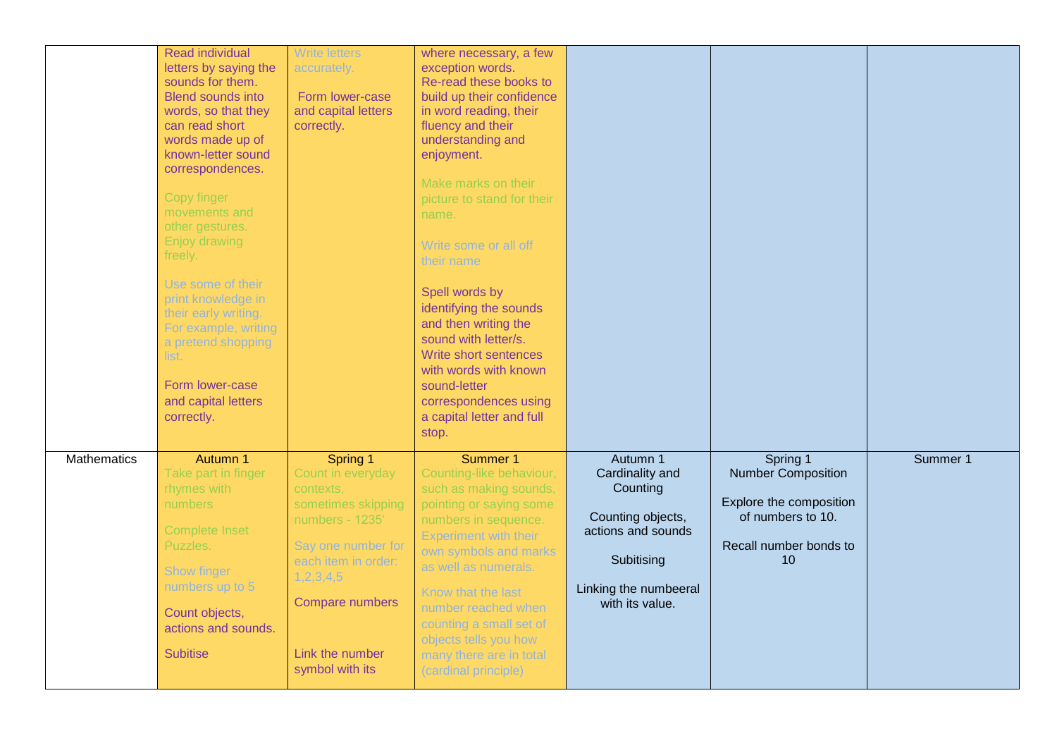|             | Read individual<br>letters by saying the<br>sounds for them.<br><b>Blend sounds into</b><br>words, so that they<br>can read short<br>words made up of<br>known-letter sound<br>correspondences.<br>Copy finger<br>movements and<br>other gestures.<br><b>Enjoy drawing</b><br>freely.<br>Use some of their<br>print knowledge in<br>their early writing.<br>For example, writing<br>a pretend shopping<br>list.<br>Form lower-case<br>and capital letters<br>correctly. | <b>Write letters</b><br>accurately.<br>Form lower-case<br>and capital letters<br>correctly.                                                                                                                        | where necessary, a few<br>exception words.<br>Re-read these books to<br>build up their confidence<br>in word reading, their<br>fluency and their<br>understanding and<br>enjoyment.<br>Make marks on their<br>picture to stand for their<br>name.<br>Write some or all off<br>their name<br>Spell words by<br>identifying the sounds<br>and then writing the<br>sound with letter/s.<br>Write short sentences<br>with words with known<br>sound-letter<br>correspondences using<br>a capital letter and full<br>stop. |                                                                                                                                              |                                                                                                                       |          |
|-------------|-------------------------------------------------------------------------------------------------------------------------------------------------------------------------------------------------------------------------------------------------------------------------------------------------------------------------------------------------------------------------------------------------------------------------------------------------------------------------|--------------------------------------------------------------------------------------------------------------------------------------------------------------------------------------------------------------------|-----------------------------------------------------------------------------------------------------------------------------------------------------------------------------------------------------------------------------------------------------------------------------------------------------------------------------------------------------------------------------------------------------------------------------------------------------------------------------------------------------------------------|----------------------------------------------------------------------------------------------------------------------------------------------|-----------------------------------------------------------------------------------------------------------------------|----------|
| Mathematics | Autumn 1<br>Take part in finger<br>rhymes with<br><b>numbers</b><br><b>Complete Inset</b><br>Puzzles.<br>Show finger<br>numbers up to 5<br>Count objects,<br>actions and sounds.<br><b>Subitise</b>                                                                                                                                                                                                                                                                     | Spring 1<br>Count in everyday<br>contexts,<br>sometimes skipping<br>numbers - 1235 <sup>°</sup><br>Say one number for<br>each item in order:<br>1,2,3,4,5<br>Compare numbers<br>Link the number<br>symbol with its | Summer 1<br>Counting-like behaviour,<br>such as making sounds,<br>pointing or saying some<br>numbers in sequence.<br><b>Experiment with their</b><br>own symbols and marks<br>as well as numerals.<br>Know that the last<br>number reached when<br>counting a small set of<br>objects tells you how<br>many there are in total<br>(cardinal principle)                                                                                                                                                                | Autumn 1<br>Cardinality and<br>Counting<br>Counting objects,<br>actions and sounds<br>Subitising<br>Linking the numbeeral<br>with its value. | Spring 1<br><b>Number Composition</b><br>Explore the composition<br>of numbers to 10.<br>Recall number bonds to<br>10 | Summer 1 |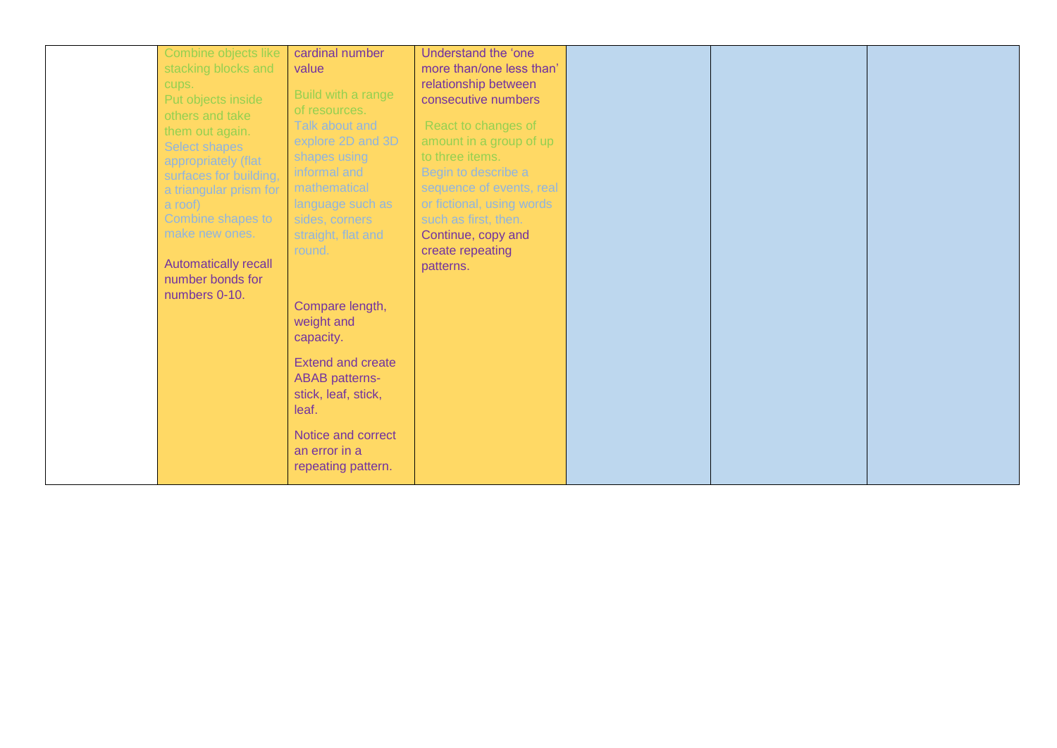| Combine objects like<br>stacking blocks and<br>cups.<br>Put objects inside<br>others and take<br>them out again.<br><b>Select shapes</b><br>appropriately (flat<br>surfaces for building,<br>a triangular prism for<br>a roof)<br>Combine shapes to<br>make new ones.<br><b>Automatically recall</b><br>number bonds for<br>numbers 0-10. | cardinal number<br>value<br>Build with a range<br>of resources.<br>Talk about and<br>explore 2D and 3D<br>shapes using<br>informal and<br>mathematical<br>language such as<br>sides, corners<br>straight, flat and<br>round.<br>Compare length,<br>weight and<br>capacity.<br><b>Extend and create</b><br><b>ABAB</b> patterns-<br>stick, leaf, stick, | Understand the 'one<br>more than/one less than'<br>relationship between<br>consecutive numbers<br>React to changes of<br>amount in a group of up<br>to three items.<br>Begin to describe a<br>sequence of events, real<br>or fictional, using words<br>such as first, then.<br>Continue, copy and<br>create repeating<br>patterns. |  |  |
|-------------------------------------------------------------------------------------------------------------------------------------------------------------------------------------------------------------------------------------------------------------------------------------------------------------------------------------------|--------------------------------------------------------------------------------------------------------------------------------------------------------------------------------------------------------------------------------------------------------------------------------------------------------------------------------------------------------|------------------------------------------------------------------------------------------------------------------------------------------------------------------------------------------------------------------------------------------------------------------------------------------------------------------------------------|--|--|
|                                                                                                                                                                                                                                                                                                                                           | leaf.<br>Notice and correct<br>an error in a<br>repeating pattern.                                                                                                                                                                                                                                                                                     |                                                                                                                                                                                                                                                                                                                                    |  |  |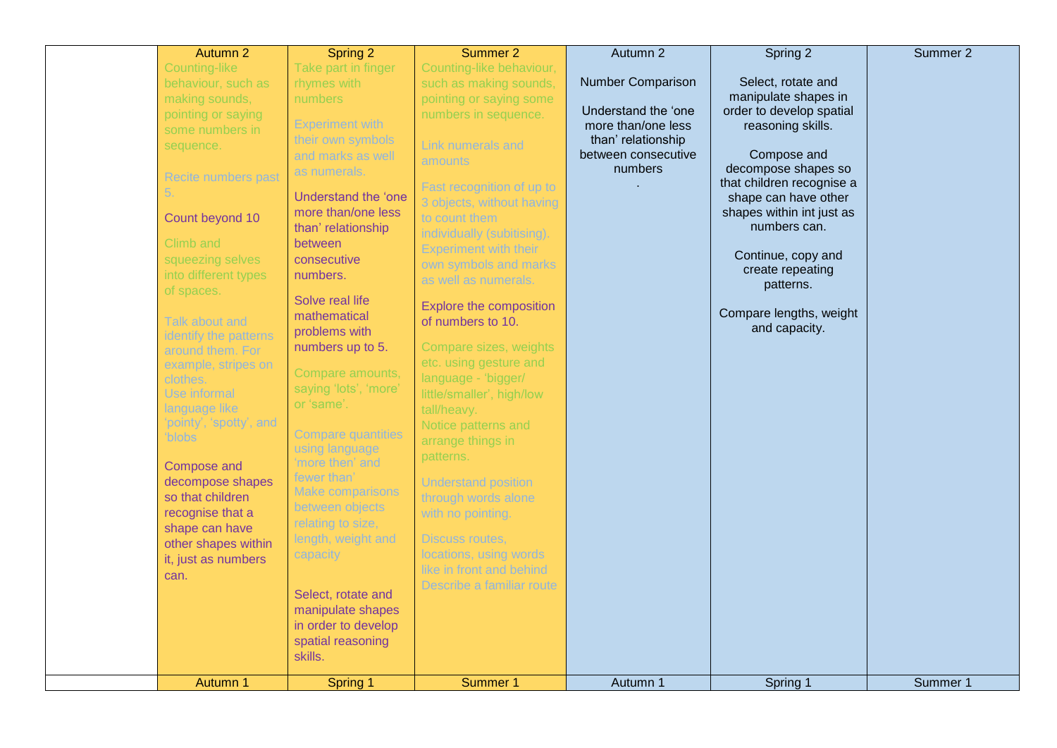| Autumn 2                                                                                                                                                                                                                                                                                                                                                                                                                                                                                                                                                                    | Spring 2                                                                                                                                                                                                                                                                                                                                                                                                                                                                                                                                                                                                                                                              | Summer 2                                                                                                                                                                                                                                                                                                                                                                                                                                                                                                                                                                                                                                                                                                                                                      | Autumn 2                                                                                                                      | Spring 2                                                                                                                                                                                                                                                                                                                               | Summer 2 |
|-----------------------------------------------------------------------------------------------------------------------------------------------------------------------------------------------------------------------------------------------------------------------------------------------------------------------------------------------------------------------------------------------------------------------------------------------------------------------------------------------------------------------------------------------------------------------------|-----------------------------------------------------------------------------------------------------------------------------------------------------------------------------------------------------------------------------------------------------------------------------------------------------------------------------------------------------------------------------------------------------------------------------------------------------------------------------------------------------------------------------------------------------------------------------------------------------------------------------------------------------------------------|---------------------------------------------------------------------------------------------------------------------------------------------------------------------------------------------------------------------------------------------------------------------------------------------------------------------------------------------------------------------------------------------------------------------------------------------------------------------------------------------------------------------------------------------------------------------------------------------------------------------------------------------------------------------------------------------------------------------------------------------------------------|-------------------------------------------------------------------------------------------------------------------------------|----------------------------------------------------------------------------------------------------------------------------------------------------------------------------------------------------------------------------------------------------------------------------------------------------------------------------------------|----------|
| Counting-like<br>behaviour, such as<br>making sounds,<br>pointing or saying<br>some numbers in<br>sequence.<br><b>Recite numbers past</b><br>5.<br>Count beyond 10<br>Climb and<br>squeezing selves<br>into different types<br>of spaces.<br>Talk about and<br>identify the patterns<br>around them. For<br>example, stripes on<br>clothes.<br>Use informal<br>language like<br>'pointy', 'spotty', and<br>'blobs<br><b>Compose and</b><br>decompose shapes<br>so that children<br>recognise that a<br>shape can have<br>other shapes within<br>it, just as numbers<br>can. | Take part in finger<br>rhymes with<br>numbers<br><b>Experiment with</b><br>their own symbols<br>and marks as well<br>as numerals.<br>Understand the 'one<br>more than/one less<br>than' relationship<br>between<br>consecutive<br>numbers.<br>Solve real life<br>mathematical<br>problems with<br>numbers up to 5.<br>Compare amounts,<br>saying 'lots', 'more'<br>or 'same'.<br><b>Compare quantities</b><br>using language<br>'more then' and<br>fewer than'<br><b>Make comparisons</b><br>between objects<br>relating to size,<br>length, weight and<br>capacity<br>Select, rotate and<br>manipulate shapes<br>in order to develop<br>spatial reasoning<br>skills. | Counting-like behaviour,<br>such as making sounds,<br>pointing or saying some<br>numbers in sequence.<br>Link numerals and<br><b>amounts</b><br>Fast recognition of up to<br>3 objects, without having<br>to count them<br>individually (subitising).<br><b>Experiment with their</b><br>own symbols and marks<br>as well as numerals.<br>Explore the composition<br>of numbers to 10.<br>Compare sizes, weights<br>etc. using gesture and<br>language - 'bigger/<br>little/smaller', high/low<br>tall/heavy.<br>Notice patterns and<br>arrange things in<br>patterns.<br><b>Understand position</b><br>through words alone<br>with no pointing.<br><b>Discuss routes,</b><br>locations, using words<br>like in front and behind<br>Describe a familiar route | <b>Number Comparison</b><br>Understand the 'one<br>more than/one less<br>than' relationship<br>between consecutive<br>numbers | Select, rotate and<br>manipulate shapes in<br>order to develop spatial<br>reasoning skills.<br>Compose and<br>decompose shapes so<br>that children recognise a<br>shape can have other<br>shapes within int just as<br>numbers can.<br>Continue, copy and<br>create repeating<br>patterns.<br>Compare lengths, weight<br>and capacity. |          |
| Autumn 1                                                                                                                                                                                                                                                                                                                                                                                                                                                                                                                                                                    | Spring 1                                                                                                                                                                                                                                                                                                                                                                                                                                                                                                                                                                                                                                                              | Summer 1                                                                                                                                                                                                                                                                                                                                                                                                                                                                                                                                                                                                                                                                                                                                                      | Autumn 1                                                                                                                      | Spring 1                                                                                                                                                                                                                                                                                                                               | Summer 1 |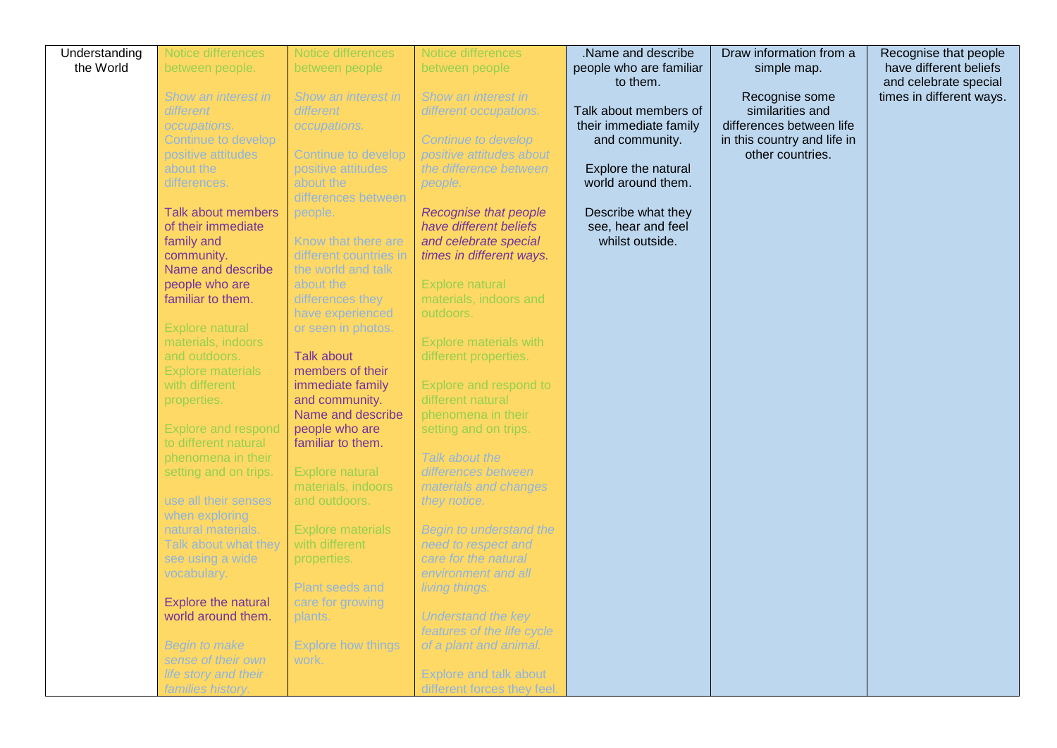| Understanding | Notice differences              | Notice differences                           | Notice differences             | .Name and describe      | Draw information from a     | Recognise that people    |
|---------------|---------------------------------|----------------------------------------------|--------------------------------|-------------------------|-----------------------------|--------------------------|
| the World     | between people.                 | between people                               | between people                 | people who are familiar | simple map.                 | have different beliefs   |
|               |                                 |                                              |                                | to them.                |                             | and celebrate special    |
|               | Show an interest in             | Show an interest in                          | Show an interest in            |                         | Recognise some              | times in different ways. |
|               | different                       | different                                    | different occupations.         | Talk about members of   | similarities and            |                          |
|               | occupations.                    | occupations.                                 |                                | their immediate family  | differences between life    |                          |
|               | Continue to develop             |                                              | <b>Continue to develop</b>     | and community.          | in this country and life in |                          |
|               | positive attitudes              | <b>Continue to develop</b>                   | positive attitudes about       |                         | other countries.            |                          |
|               | about the                       | positive attitudes                           | the difference between         | Explore the natural     |                             |                          |
|               | differences.                    | about the                                    | people.                        | world around them.      |                             |                          |
|               |                                 | differences between                          |                                |                         |                             |                          |
|               | <b>Talk about members</b>       | people.                                      | <b>Recognise that people</b>   | Describe what they      |                             |                          |
|               | of their immediate              |                                              | have different beliefs         | see, hear and feel      |                             |                          |
|               | family and                      | Know that there are                          | and celebrate special          | whilst outside.         |                             |                          |
|               | community.<br>Name and describe | different countries in<br>the world and talk | times in different ways.       |                         |                             |                          |
|               | people who are                  | about the                                    | Explore natural                |                         |                             |                          |
|               | familiar to them.               | differences they                             | materials, indoors and         |                         |                             |                          |
|               |                                 | have experienced                             | outdoors.                      |                         |                             |                          |
|               | <b>Explore natural</b>          | or seen in photos.                           |                                |                         |                             |                          |
|               | materials, indoors              |                                              | <b>Explore materials with</b>  |                         |                             |                          |
|               | and outdoors.                   | <b>Talk about</b>                            | different properties.          |                         |                             |                          |
|               | <b>Explore materials</b>        | members of their                             |                                |                         |                             |                          |
|               | with different                  | immediate family                             | Explore and respond to         |                         |                             |                          |
|               | properties.                     | and community.                               | different natural              |                         |                             |                          |
|               |                                 | Name and describe                            | phenomena in their             |                         |                             |                          |
|               | <b>Explore and respond</b>      | people who are                               | setting and on trips.          |                         |                             |                          |
|               | to different natural            | familiar to them.                            |                                |                         |                             |                          |
|               | phenomena in their              |                                              | Talk about the                 |                         |                             |                          |
|               | setting and on trips.           | Explore natural                              | differences between            |                         |                             |                          |
|               | use all their senses            | materials, indoors                           | materials and changes          |                         |                             |                          |
|               | when exploring                  | and outdoors.                                | they notice.                   |                         |                             |                          |
|               | natural materials.              | <b>Explore materials</b>                     | <b>Begin to understand the</b> |                         |                             |                          |
|               | Talk about what they            | with different                               | need to respect and            |                         |                             |                          |
|               | see using a wide                | properties.                                  | care for the natural           |                         |                             |                          |
|               | vocabulary.                     |                                              | environment and all            |                         |                             |                          |
|               |                                 | <b>Plant seeds and</b>                       | living things.                 |                         |                             |                          |
|               | Explore the natural             | care for growing                             |                                |                         |                             |                          |
|               | world around them.              | plants.                                      | <b>Understand the key</b>      |                         |                             |                          |
|               |                                 |                                              | features of the life cycle     |                         |                             |                          |
|               | <b>Begin to make</b>            | <b>Explore how things</b>                    | of a plant and animal.         |                         |                             |                          |
|               | sense of their own              | work.                                        |                                |                         |                             |                          |
|               | life story and their            |                                              | <b>Explore and talk about</b>  |                         |                             |                          |
|               | families history.               |                                              | different forces they feel.    |                         |                             |                          |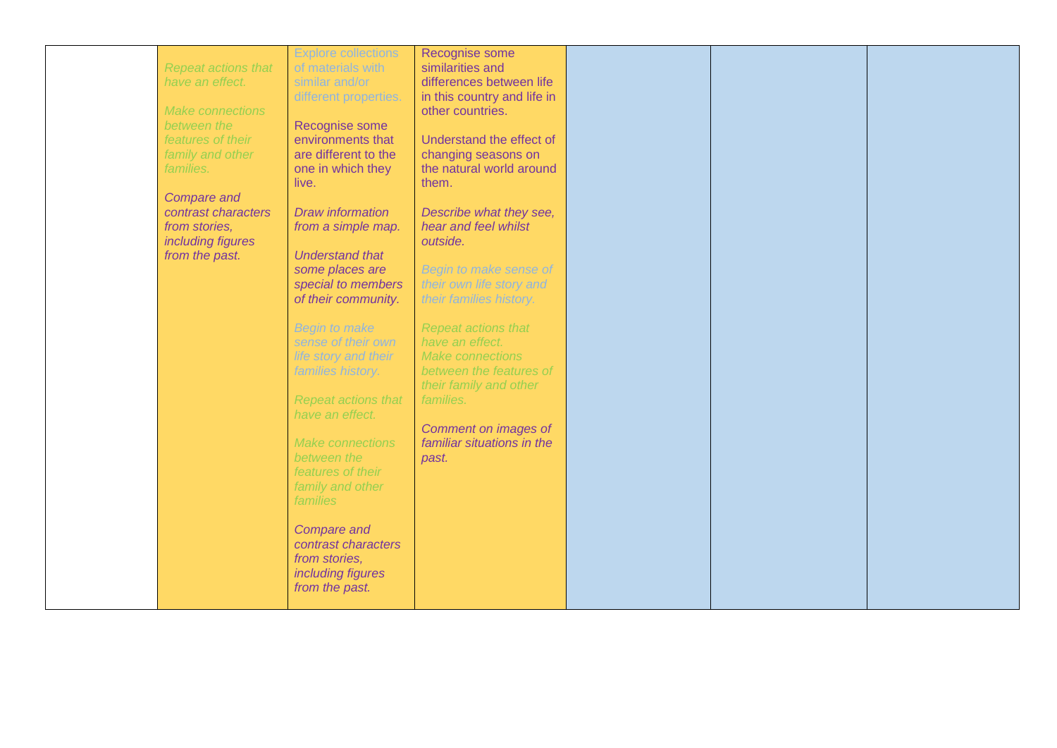|                         | <b>Explore collections</b> | Recognise some              |  |  |
|-------------------------|----------------------------|-----------------------------|--|--|
| Repeat actions that     | of materials with          | similarities and            |  |  |
| have an effect.         | similar and/or             | differences between life    |  |  |
|                         | different properties.      | in this country and life in |  |  |
|                         |                            |                             |  |  |
| <b>Make connections</b> |                            | other countries.            |  |  |
| between the             | Recognise some             |                             |  |  |
| features of their       | environments that          | Understand the effect of    |  |  |
| family and other        | are different to the       | changing seasons on         |  |  |
| families.               | one in which they          | the natural world around    |  |  |
|                         | live.                      | them.                       |  |  |
| <b>Compare and</b>      |                            |                             |  |  |
| contrast characters     | <b>Draw information</b>    | Describe what they see,     |  |  |
| from stories,           | from a simple map.         | hear and feel whilst        |  |  |
| including figures       |                            | outside.                    |  |  |
| from the past.          | <b>Understand that</b>     |                             |  |  |
|                         | some places are            | Begin to make sense of      |  |  |
|                         |                            |                             |  |  |
|                         | special to members         | their own life story and    |  |  |
|                         | of their community.        | their families history.     |  |  |
|                         |                            |                             |  |  |
|                         | <b>Begin to make</b>       | <b>Repeat actions that</b>  |  |  |
|                         | sense of their own         | have an effect.             |  |  |
|                         | life story and their       | <b>Make connections</b>     |  |  |
|                         | families history.          | between the features of     |  |  |
|                         |                            | their family and other      |  |  |
|                         | <b>Repeat actions that</b> | families.                   |  |  |
|                         | have an effect.            |                             |  |  |
|                         |                            | Comment on images of        |  |  |
|                         |                            |                             |  |  |
|                         | Make connections           | familiar situations in the  |  |  |
|                         | between the                | past.                       |  |  |
|                         | features of their          |                             |  |  |
|                         | family and other           |                             |  |  |
|                         | families                   |                             |  |  |
|                         |                            |                             |  |  |
|                         | <b>Compare and</b>         |                             |  |  |
|                         | contrast characters        |                             |  |  |
|                         | from stories,              |                             |  |  |
|                         | including figures          |                             |  |  |
|                         | from the past.             |                             |  |  |
|                         |                            |                             |  |  |
|                         |                            |                             |  |  |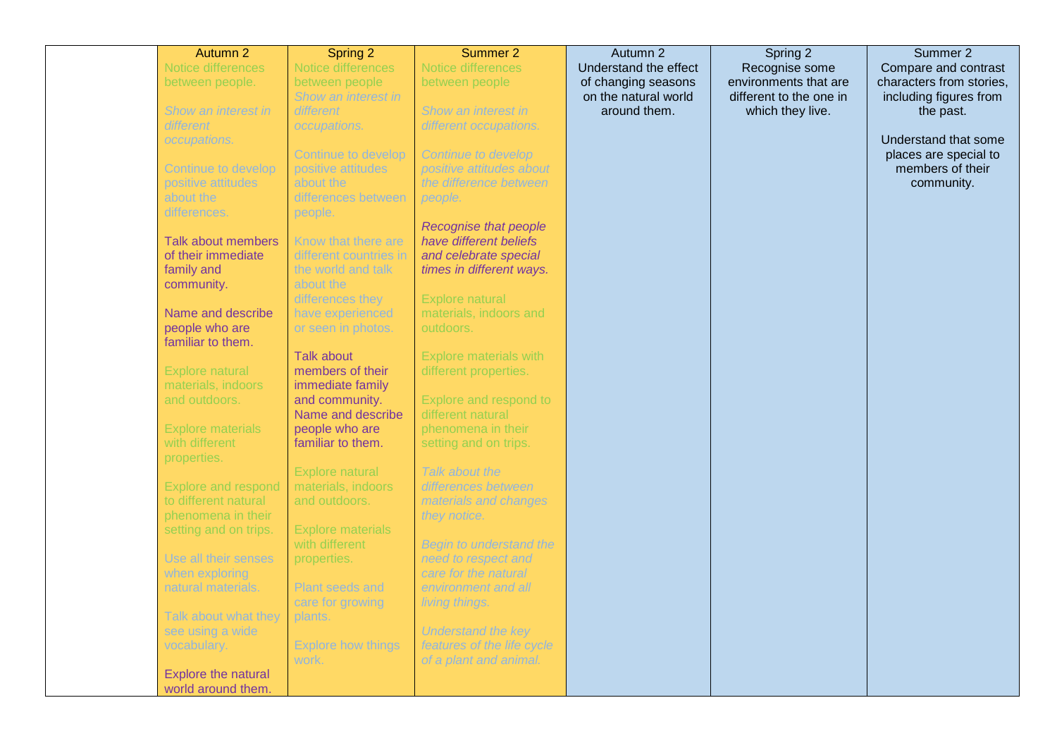| Autumn 2                   | Spring 2                           | Summer 2                       | Autumn 2              | Spring 2                | Summer 2                 |
|----------------------------|------------------------------------|--------------------------------|-----------------------|-------------------------|--------------------------|
| Notice differences         | Notice differences                 | Notice differences             | Understand the effect | Recognise some          | Compare and contrast     |
| between people.            | between people                     | between people                 | of changing seasons   | environments that are   | characters from stories, |
|                            | Show an interest in                |                                | on the natural world  | different to the one in | including figures from   |
| Show an interest in        | different                          | Show an interest in            | around them.          | which they live.        | the past.                |
| different                  | occupations.                       | different occupations.         |                       |                         |                          |
| occupations.               |                                    |                                |                       |                         | Understand that some     |
|                            | Continue to develop                | <b>Continue to develop</b>     |                       |                         | places are special to    |
| Continue to develop        | positive attitudes                 | positive attitudes about       |                       |                         | members of their         |
| positive attitudes         | about the                          | the difference between         |                       |                         | community.               |
| about the                  | differences between                | people.                        |                       |                         |                          |
| differences.               | people.                            |                                |                       |                         |                          |
|                            |                                    | <b>Recognise that people</b>   |                       |                         |                          |
| Talk about members         | Know that there are                | have different beliefs         |                       |                         |                          |
| of their immediate         | different countries in             | and celebrate special          |                       |                         |                          |
| family and                 | the world and talk                 | times in different ways.       |                       |                         |                          |
| community.                 | about the                          |                                |                       |                         |                          |
|                            | differences they                   | Explore natural                |                       |                         |                          |
| Name and describe          | have experienced                   | materials, indoors and         |                       |                         |                          |
| people who are             | or seen in photos.                 | outdoors.                      |                       |                         |                          |
| familiar to them.          | <b>Talk about</b>                  |                                |                       |                         |                          |
|                            |                                    | <b>Explore materials with</b>  |                       |                         |                          |
| Explore natural            | members of their                   | different properties.          |                       |                         |                          |
| materials, indoors         | immediate family<br>and community. | Explore and respond to         |                       |                         |                          |
| and outdoors.              | Name and describe                  | different natural              |                       |                         |                          |
| <b>Explore materials</b>   | people who are                     | phenomena in their             |                       |                         |                          |
| with different             | familiar to them.                  | setting and on trips.          |                       |                         |                          |
| properties.                |                                    |                                |                       |                         |                          |
|                            | <b>Explore natural</b>             | Talk about the                 |                       |                         |                          |
| <b>Explore and respond</b> | materials, indoors                 | differences between            |                       |                         |                          |
| to different natural       | and outdoors.                      | materials and changes          |                       |                         |                          |
| phenomena in their         |                                    | they notice.                   |                       |                         |                          |
| setting and on trips.      | <b>Explore materials</b>           |                                |                       |                         |                          |
|                            | with different                     | <b>Begin to understand the</b> |                       |                         |                          |
| Use all their senses       | properties.                        | need to respect and            |                       |                         |                          |
| when exploring             |                                    | care for the natural           |                       |                         |                          |
| natural materials.         | Plant seeds and                    | environment and all            |                       |                         |                          |
|                            | care for growing                   | living things.                 |                       |                         |                          |
| Talk about what they       | plants.                            |                                |                       |                         |                          |
| see using a wide           |                                    | <b>Understand the key</b>      |                       |                         |                          |
| vocabulary.                | <b>Explore how things</b>          | features of the life cycle     |                       |                         |                          |
|                            | work.                              | of a plant and animal.         |                       |                         |                          |
| Explore the natural        |                                    |                                |                       |                         |                          |
| world around them.         |                                    |                                |                       |                         |                          |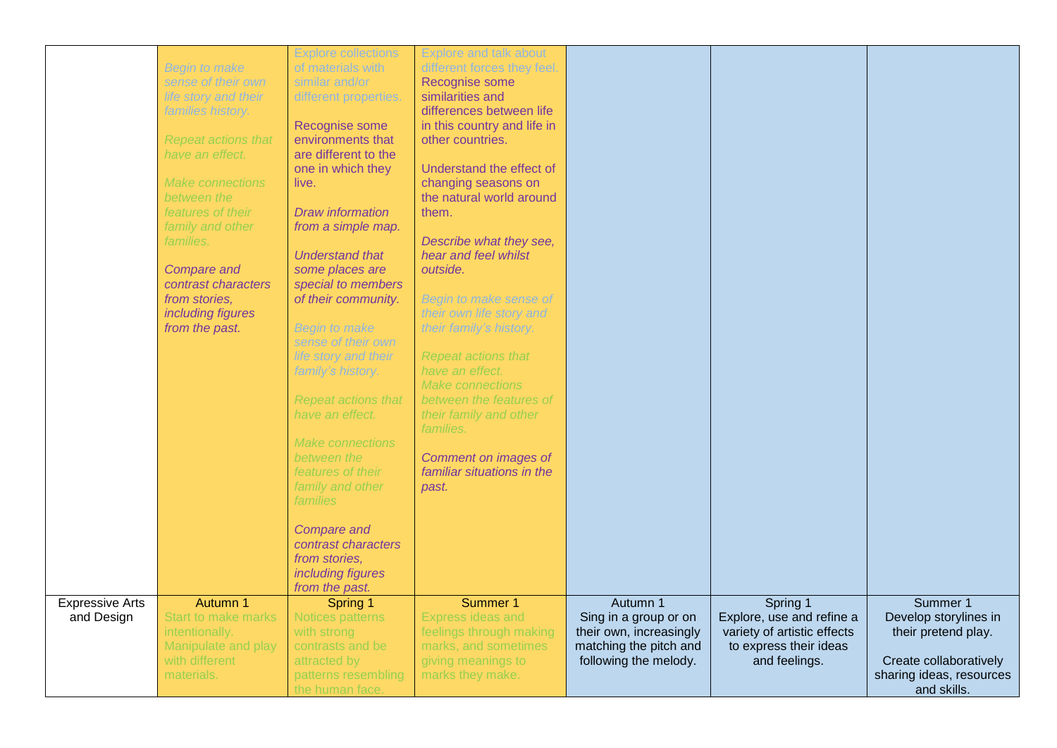|                        |                            | <b>Explore collections</b> | <b>Explore and talk about</b> |                         |                             |                          |
|------------------------|----------------------------|----------------------------|-------------------------------|-------------------------|-----------------------------|--------------------------|
|                        | <b>Begin to make</b>       | of materials with          | different forces they feel.   |                         |                             |                          |
|                        | sense of their own         | similar and/or             | Recognise some                |                         |                             |                          |
|                        | life story and their       | different properties.      | similarities and              |                         |                             |                          |
|                        | families history.          |                            | differences between life      |                         |                             |                          |
|                        |                            | Recognise some             | in this country and life in   |                         |                             |                          |
|                        | <b>Repeat actions that</b> | environments that          | other countries.              |                         |                             |                          |
|                        | have an effect.            | are different to the       |                               |                         |                             |                          |
|                        |                            | one in which they          | Understand the effect of      |                         |                             |                          |
|                        | Make connections           | live.                      | changing seasons on           |                         |                             |                          |
|                        | between the                |                            | the natural world around      |                         |                             |                          |
|                        | features of their          | <b>Draw information</b>    | them.                         |                         |                             |                          |
|                        | family and other           | from a simple map.         |                               |                         |                             |                          |
|                        | families.                  |                            | Describe what they see,       |                         |                             |                          |
|                        |                            | <b>Understand that</b>     | hear and feel whilst          |                         |                             |                          |
|                        | <b>Compare and</b>         | some places are            | outside.                      |                         |                             |                          |
|                        | contrast characters        | special to members         |                               |                         |                             |                          |
|                        | from stories,              | of their community.        | Begin to make sense of        |                         |                             |                          |
|                        | including figures          |                            | their own life story and      |                         |                             |                          |
|                        | from the past.             | <b>Begin to make</b>       | their family's history.       |                         |                             |                          |
|                        |                            | sense of their own         |                               |                         |                             |                          |
|                        |                            | life story and their       | <b>Repeat actions that</b>    |                         |                             |                          |
|                        |                            | family's history.          | have an effect.               |                         |                             |                          |
|                        |                            |                            | <b>Make connections</b>       |                         |                             |                          |
|                        |                            | <b>Repeat actions that</b> | between the features of       |                         |                             |                          |
|                        |                            | have an effect.            | their family and other        |                         |                             |                          |
|                        |                            |                            | <i>families.</i>              |                         |                             |                          |
|                        |                            | <b>Make connections</b>    |                               |                         |                             |                          |
|                        |                            | between the                | Comment on images of          |                         |                             |                          |
|                        |                            | features of their          | familiar situations in the    |                         |                             |                          |
|                        |                            | family and other           | past.                         |                         |                             |                          |
|                        |                            | families                   |                               |                         |                             |                          |
|                        |                            |                            |                               |                         |                             |                          |
|                        |                            | <b>Compare and</b>         |                               |                         |                             |                          |
|                        |                            | contrast characters        |                               |                         |                             |                          |
|                        |                            | from stories,              |                               |                         |                             |                          |
|                        |                            | including figures          |                               |                         |                             |                          |
|                        |                            | from the past.             |                               |                         |                             |                          |
| <b>Expressive Arts</b> | Autumn 1                   | Spring 1                   | Summer 1                      | Autumn 1                | Spring 1                    | Summer 1                 |
| and Design             | <b>Start to make marks</b> | Notices patterns           | <b>Express ideas and</b>      | Sing in a group or on   | Explore, use and refine a   | Develop storylines in    |
|                        | intentionally.             | with strong                | feelings through making       | their own, increasingly | variety of artistic effects | their pretend play.      |
|                        | Manipulate and play        | contrasts and be           | marks, and sometimes          | matching the pitch and  | to express their ideas      |                          |
|                        | with different             | attracted by               | giving meanings to            | following the melody.   | and feelings.               | Create collaboratively   |
|                        | materials.                 | patterns resembling        | marks they make.              |                         |                             | sharing ideas, resources |
|                        |                            | the human face.            |                               |                         |                             | and skills.              |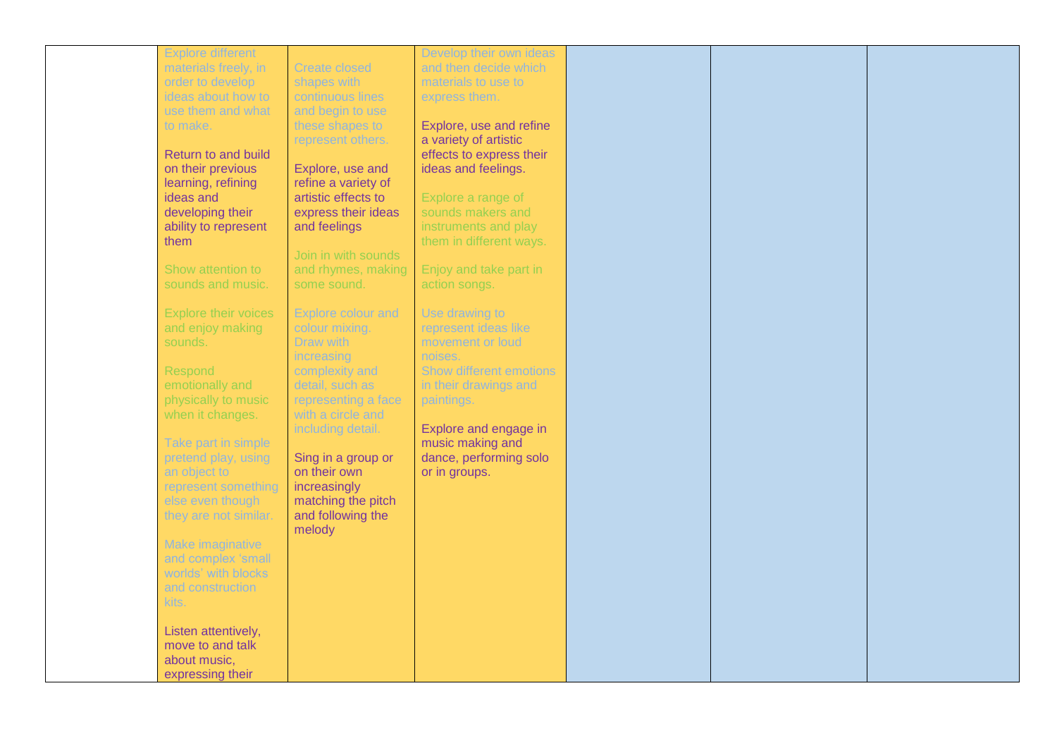| <b>Explore different</b>        |                                         | Develop their own ideas        |
|---------------------------------|-----------------------------------------|--------------------------------|
| materials freely, in            | <b>Create closed</b>                    | and then decide which          |
| order to develop                | shapes with                             | materials to use to            |
| ideas about how to              | continuous lines                        | express them.                  |
| use them and what               | and begin to use                        |                                |
| to make.                        | these shapes to                         | Explore, use and refine        |
|                                 | represent others.                       | a variety of artistic          |
| Return to and build             |                                         | effects to express their       |
|                                 |                                         |                                |
| on their previous               | Explore, use and<br>refine a variety of | ideas and feelings.            |
| learning, refining<br>ideas and | artistic effects to                     |                                |
|                                 |                                         | Explore a range of             |
| developing their                | express their ideas                     | sounds makers and              |
| ability to represent            | and feelings                            | instruments and play           |
| them                            |                                         | them in different ways.        |
|                                 | Join in with sounds                     |                                |
| Show attention to               | and rhymes, making                      | Enjoy and take part in         |
| sounds and music.               | some sound.                             | action songs.                  |
|                                 |                                         |                                |
| <b>Explore their voices</b>     | Explore colour and                      | Use drawing to                 |
| and enjoy making                | colour mixing.                          | represent ideas like           |
| sounds.                         | Draw with                               | movement or loud               |
|                                 | increasing                              | noises.                        |
| Respond                         | complexity and                          | <b>Show different emotions</b> |
| emotionally and                 | detail, such as                         | in their drawings and          |
| physically to music             | representing a face                     | paintings.                     |
| when it changes.                | with a circle and                       |                                |
|                                 | including detail.                       | Explore and engage in          |
|                                 |                                         |                                |
| Take part in simple             |                                         | music making and               |
| pretend play, using             | Sing in a group or                      | dance, performing solo         |
| an object to                    | on their own                            | or in groups.                  |
| represent something             | increasingly                            |                                |
| else even though                | matching the pitch                      |                                |
| they are not similar.           | and following the                       |                                |
|                                 | melody                                  |                                |
| Make imaginative                |                                         |                                |
| and complex 'small              |                                         |                                |
| worlds' with blocks             |                                         |                                |
| and construction                |                                         |                                |
| kits.                           |                                         |                                |
|                                 |                                         |                                |
| Listen attentively,             |                                         |                                |
| move to and talk                |                                         |                                |
|                                 |                                         |                                |
| about music,                    |                                         |                                |
| expressing their                |                                         |                                |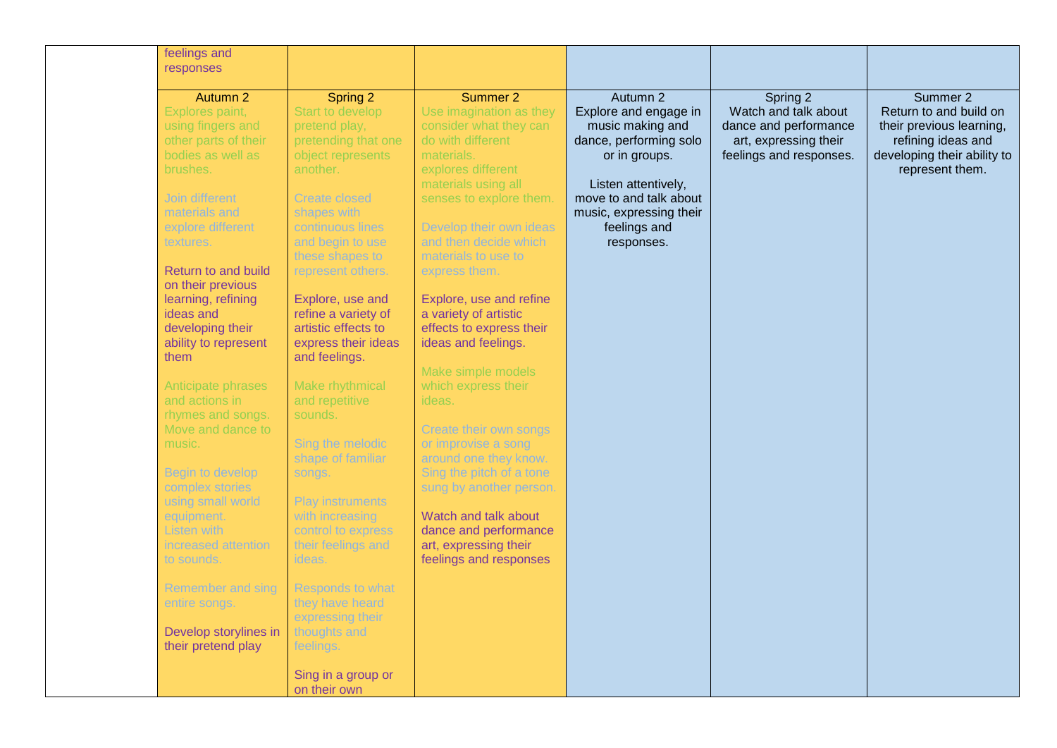| feelings and<br>responses                                                                                                                                                                                                                                                                                                                                                                                                                                                                                                                                                                                                        |                                                                                                                                                                                                                                                                                                                                                                                                                                                                                                                                                                                                                                                                                    |                                                                                                                                                                                                                                                                                                                                                                                                                                                                                                                                                                                                                                                                         |                                                                                                                                                                                                            |                                                                                                               |                                                                                                                                        |
|----------------------------------------------------------------------------------------------------------------------------------------------------------------------------------------------------------------------------------------------------------------------------------------------------------------------------------------------------------------------------------------------------------------------------------------------------------------------------------------------------------------------------------------------------------------------------------------------------------------------------------|------------------------------------------------------------------------------------------------------------------------------------------------------------------------------------------------------------------------------------------------------------------------------------------------------------------------------------------------------------------------------------------------------------------------------------------------------------------------------------------------------------------------------------------------------------------------------------------------------------------------------------------------------------------------------------|-------------------------------------------------------------------------------------------------------------------------------------------------------------------------------------------------------------------------------------------------------------------------------------------------------------------------------------------------------------------------------------------------------------------------------------------------------------------------------------------------------------------------------------------------------------------------------------------------------------------------------------------------------------------------|------------------------------------------------------------------------------------------------------------------------------------------------------------------------------------------------------------|---------------------------------------------------------------------------------------------------------------|----------------------------------------------------------------------------------------------------------------------------------------|
| Autumn 2<br>Explores paint,<br>using fingers and<br>other parts of their<br>bodies as well as<br>brushes.<br>Join different<br>materials and<br>explore different<br>textures.<br>Return to and build<br>on their previous<br>learning, refining<br>ideas and<br>developing their<br>ability to represent<br>them<br>Anticipate phrases<br>and actions in<br>rhymes and songs.<br>Move and dance to<br>music.<br>Begin to develop<br>complex stories<br>using small world<br>equipment.<br>Listen with<br>increased attention<br>to sounds.<br>Remember and sing<br>entire songs.<br>Develop storylines in<br>their pretend play | Spring 2<br>Start to develop<br>pretend play,<br>pretending that one<br>object represents<br>another.<br><b>Create closed</b><br>shapes with<br>continuous lines<br>and begin to use<br>these shapes to<br>represent others.<br>Explore, use and<br>refine a variety of<br>artistic effects to<br>express their ideas<br>and feelings.<br>Make rhythmical<br>and repetitive<br>sounds.<br>Sing the melodic<br>shape of familiar<br>songs.<br><b>Play instruments</b><br>with increasing<br>control to express<br>their feelings and<br>ideas.<br><b>Responds to what</b><br>they have heard<br>expressing their<br>thoughts and<br>feelings.<br>Sing in a group or<br>on their own | Summer 2<br>Use imagination as they<br>consider what they can<br>do with different<br>materials.<br>explores different<br>materials using all<br>senses to explore them.<br>Develop their own ideas<br>and then decide which<br>materials to use to<br>express them.<br>Explore, use and refine<br>a variety of artistic<br>effects to express their<br>ideas and feelings.<br>Make simple models<br>which express their<br>ideas.<br>Create their own songs<br>or improvise a song<br>around one they know.<br>Sing the pitch of a tone<br>sung by another person.<br>Watch and talk about<br>dance and performance<br>art, expressing their<br>feelings and responses | Autumn 2<br>Explore and engage in<br>music making and<br>dance, performing solo<br>or in groups.<br>Listen attentively,<br>move to and talk about<br>music, expressing their<br>feelings and<br>responses. | Spring 2<br>Watch and talk about<br>dance and performance<br>art, expressing their<br>feelings and responses. | Summer 2<br>Return to and build on<br>their previous learning,<br>refining ideas and<br>developing their ability to<br>represent them. |